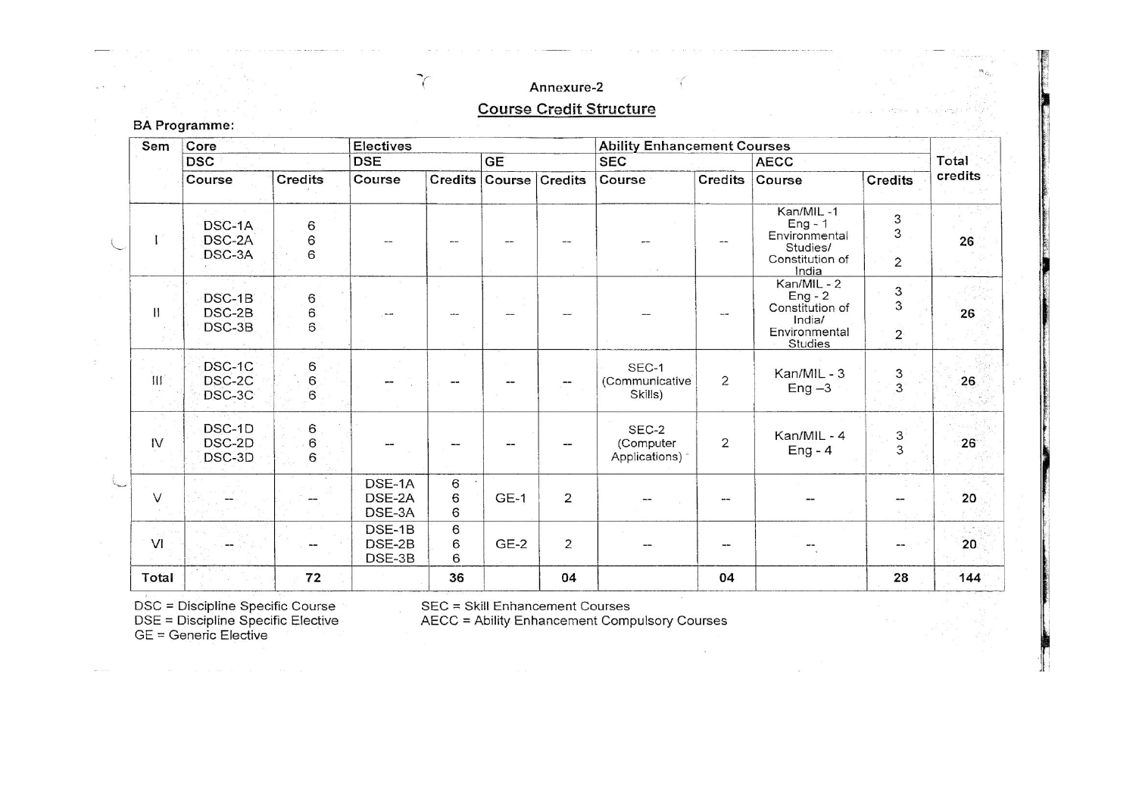#### Annexure-2

 $\gamma$ 

#### **Course Credit Structure**

| Sem            | Core                       |                       | <b>Electives</b>           |             |             |                | <b>Ability Enhancement Courses</b>  |                |                                                                                   |                                                |                 |
|----------------|----------------------------|-----------------------|----------------------------|-------------|-------------|----------------|-------------------------------------|----------------|-----------------------------------------------------------------------------------|------------------------------------------------|-----------------|
|                | <b>DSC</b>                 |                       | <b>DSE</b>                 |             | <b>GE</b>   |                | <b>SEC</b>                          |                | <b>AECC</b>                                                                       |                                                | Total           |
|                | Course                     | Credits               | Course                     | Credits     |             | Course Credits | Course                              | <b>Credits</b> | Course                                                                            | Credits                                        | credits         |
|                | DSC-1A<br>DSC-2A<br>DSC-3A | 6<br>6<br>6           |                            |             |             |                |                                     |                | Kan/MIL-1<br>$Eng - 1$<br>Environmental<br>Studies/<br>Constitution of<br>India   | 3<br>3<br>$\overline{2}$                       | 26              |
| Ħ              | DSC-1B<br>DSC-2B<br>DSC-3B | $\mathbf 6$<br>6<br>6 |                            |             |             |                |                                     |                | Kan/MIL - 2<br>$Eng - 2$<br>Constitution of<br>India/<br>Environmental<br>Studies | $\mathfrak{Z}$<br>3<br>$\overline{\mathbf{c}}$ | 26              |
| $\mathbf{III}$ | DSC-1C<br>DSC-2C<br>DSC-3C | 6<br>6<br>6           |                            |             |             | ÷-             | SEC-1<br>(Communicative)<br>Skills) | $\overline{2}$ | Kan/MIL - 3<br>$Eng -3$                                                           | 3<br>3                                         | 26              |
| IV             | DSC-1D<br>DSC-2D<br>DSC-3D | 6<br>6<br>6           |                            |             |             |                | SEC-2<br>(Computer<br>Applications) | $\overline{2}$ | Kan/MIL - 4<br>$Eng - 4$                                                          | <b>ვ</b>                                       | $26^{\circ}$    |
| $\vee$         |                            |                       | DSE-1A<br>DSE-2A<br>DSE-3A | 6<br>6<br>6 | <b>GE-1</b> | $\overline{2}$ |                                     |                |                                                                                   |                                                | 20 <sub>o</sub> |
| VI             |                            |                       | DSE-1B<br>DSE-2B<br>DSE-3B | 6<br>6<br>6 | $GE-2$      | $\overline{2}$ |                                     |                |                                                                                   | --                                             | 20              |
| Total          |                            | 72                    |                            | 36          |             | 04             |                                     | 04             |                                                                                   | 28                                             | 144             |

**BA Programme:** 

DSC = Discipline Specific Course<br>DSE = Discipline Specific Elective<br>GE = Generic Elective

SEC = Skill Enhancement Courses<br>AECC = Ability Enhancement Compulsory Courses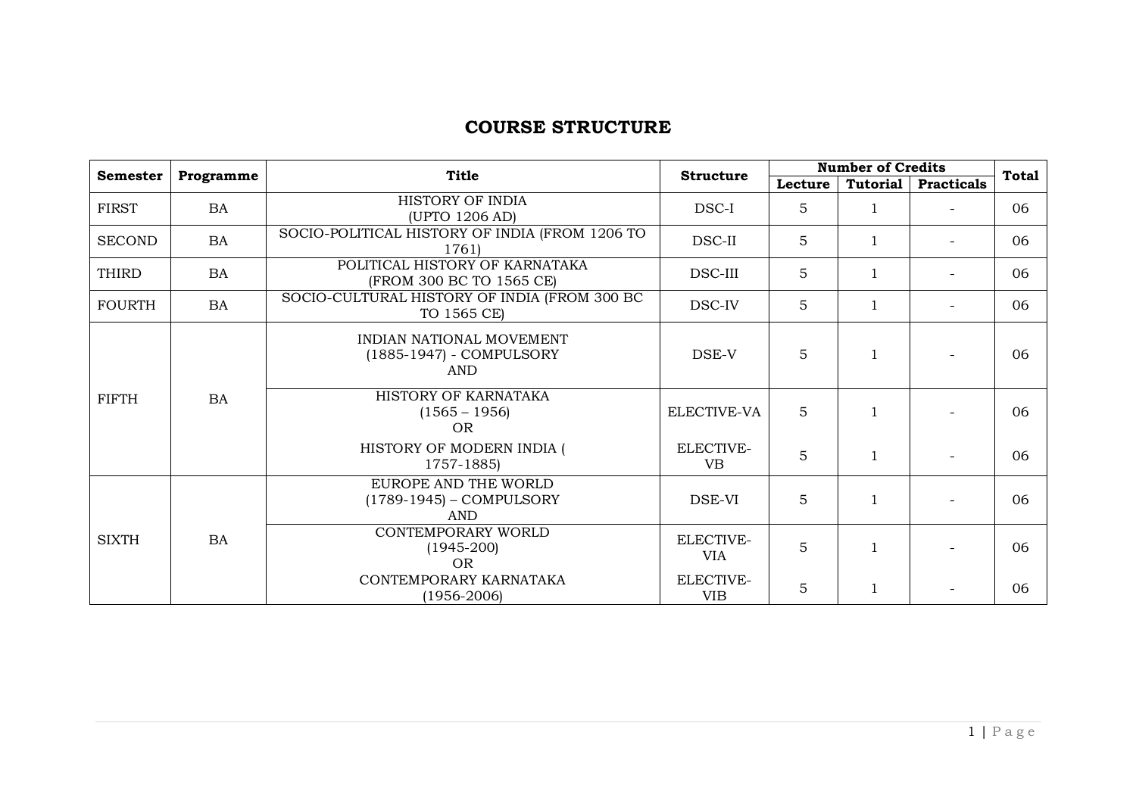#### **COURSE STRUCTURE**

| <b>Semester</b><br>Programme |           | <b>Title</b>                                                       |                         | <b>Number of Credits</b><br><b>Structure</b> |                 |                          |              |  |
|------------------------------|-----------|--------------------------------------------------------------------|-------------------------|----------------------------------------------|-----------------|--------------------------|--------------|--|
|                              |           |                                                                    |                         | Lecture                                      | <b>Tutorial</b> | <b>Practicals</b>        | <b>Total</b> |  |
| <b>FIRST</b>                 | BA        | HISTORY OF INDIA<br>(UPTO 1206 AD)                                 | DSC-I                   | 5                                            | 1               |                          | 06           |  |
| <b>SECOND</b>                | BA        | SOCIO-POLITICAL HISTORY OF INDIA (FROM 1206 TO<br>1761)            | DSC-II                  | 5                                            |                 |                          | 06           |  |
| <b>THIRD</b>                 | BA        | POLITICAL HISTORY OF KARNATAKA<br>(FROM 300 BC TO 1565 CE)         | DSC-III                 | 5                                            |                 | $\overline{\phantom{0}}$ | 06           |  |
| <b>FOURTH</b>                | <b>BA</b> | SOCIO-CULTURAL HISTORY OF INDIA (FROM 300 BC<br>TO 1565 CE)        | DSC-IV                  | 5                                            | $\mathbf{1}$    |                          | 06           |  |
|                              |           | INDIAN NATIONAL MOVEMENT<br>(1885-1947) - COMPULSORY<br><b>AND</b> | DSE-V                   | 5                                            |                 |                          | 06           |  |
| <b>FIFTH</b>                 | <b>BA</b> | HISTORY OF KARNATAKA<br>$(1565 - 1956)$<br><b>OR</b>               | ELECTIVE-VA             | 5                                            |                 |                          | 06           |  |
|                              |           | HISTORY OF MODERN INDIA (<br>1757-1885)                            | ELECTIVE-<br><b>VB</b>  | 5                                            | $\mathbf{1}$    |                          | 06           |  |
|                              |           | EUROPE AND THE WORLD<br>(1789-1945) - COMPULSORY<br><b>AND</b>     | DSE-VI                  | 5                                            |                 |                          | 06           |  |
| <b>SIXTH</b>                 | <b>BA</b> | CONTEMPORARY WORLD<br>$(1945 - 200)$<br><b>OR</b>                  | ELECTIVE-<br><b>VIA</b> | 5                                            |                 |                          | 06           |  |
|                              |           | CONTEMPORARY KARNATAKA<br>$(1956 - 2006)$                          | ELECTIVE-<br><b>VIB</b> | 5                                            |                 |                          | 06           |  |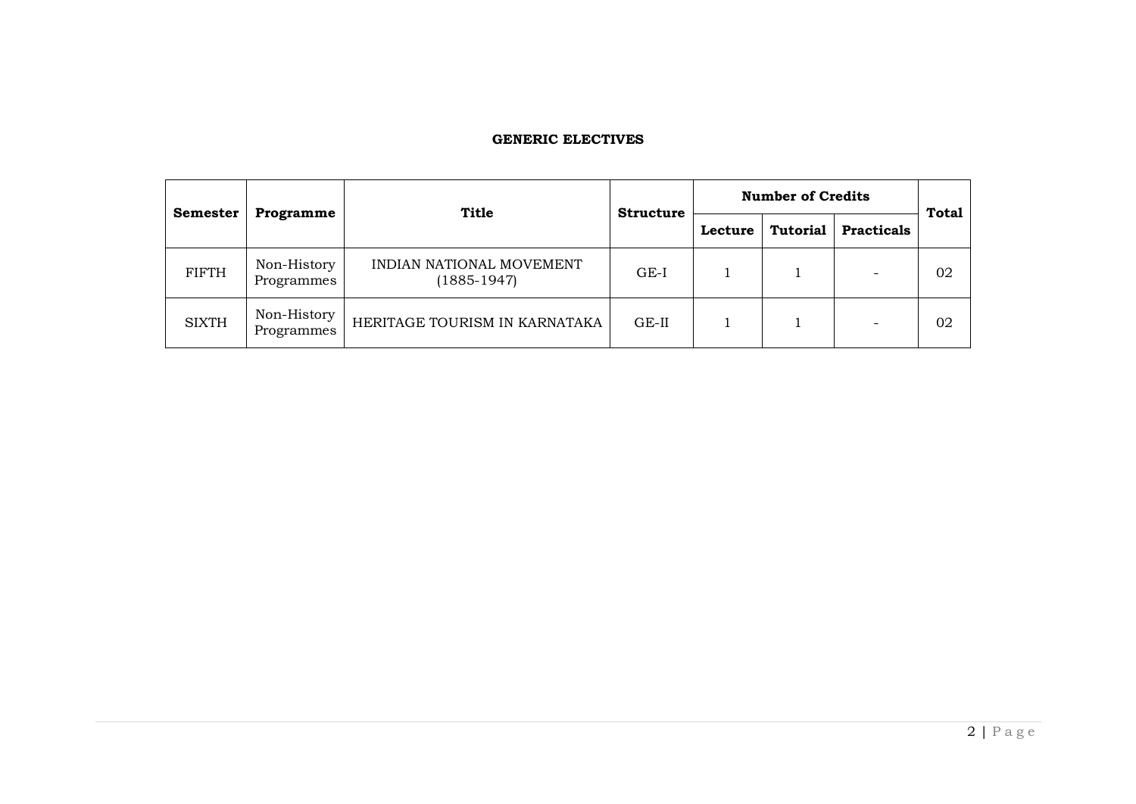#### **GENERIC ELECTIVES**

| <b>Semester</b> |                           | <b>Title</b>                                | <b>Structure</b> | <b>Number of Credits</b> | <b>Total</b>    |                   |    |  |
|-----------------|---------------------------|---------------------------------------------|------------------|--------------------------|-----------------|-------------------|----|--|
|                 | <b>Programme</b>          |                                             |                  | Lecture                  | <b>Tutorial</b> | <b>Practicals</b> |    |  |
| <b>FIFTH</b>    | Non-History<br>Programmes | INDIAN NATIONAL MOVEMENT<br>$(1885 - 1947)$ | $GE-I$           |                          |                 |                   | 02 |  |
| <b>SIXTH</b>    | Non-History<br>Programmes | HERITAGE TOURISM IN KARNATAKA               | $GE-II$          |                          |                 |                   | 02 |  |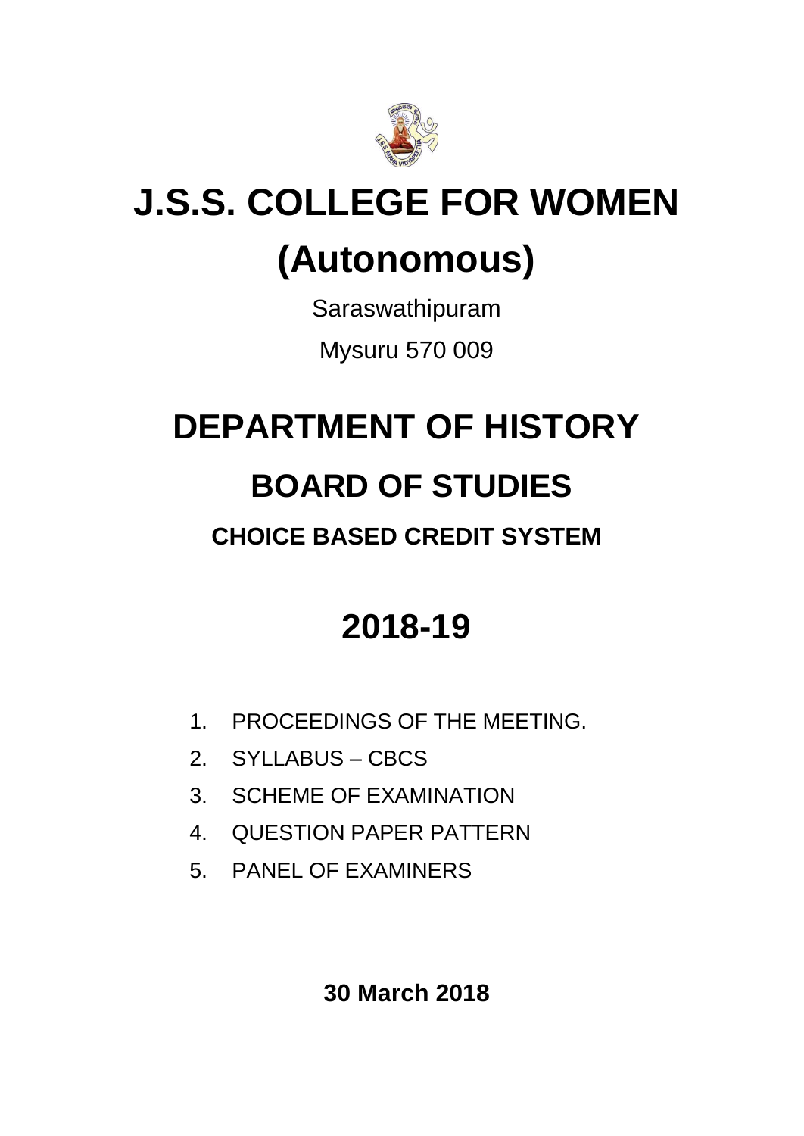

# **J.S.S. COLLEGE FOR WOMEN (Autonomous)**

Saraswathipuram Mysuru 570 009

# **DEPARTMENT OF HISTORY**

## **BOARD OF STUDIES**

## **CHOICE BASED CREDIT SYSTEM**

## **2018-19**

- 1. PROCEEDINGS OF THE MEETING.
- 2. SYLLABUS CBCS
- 3. SCHEME OF EXAMINATION
- 4. QUESTION PAPER PATTERN
- 5. PANEL OF EXAMINERS

**30 March 2018**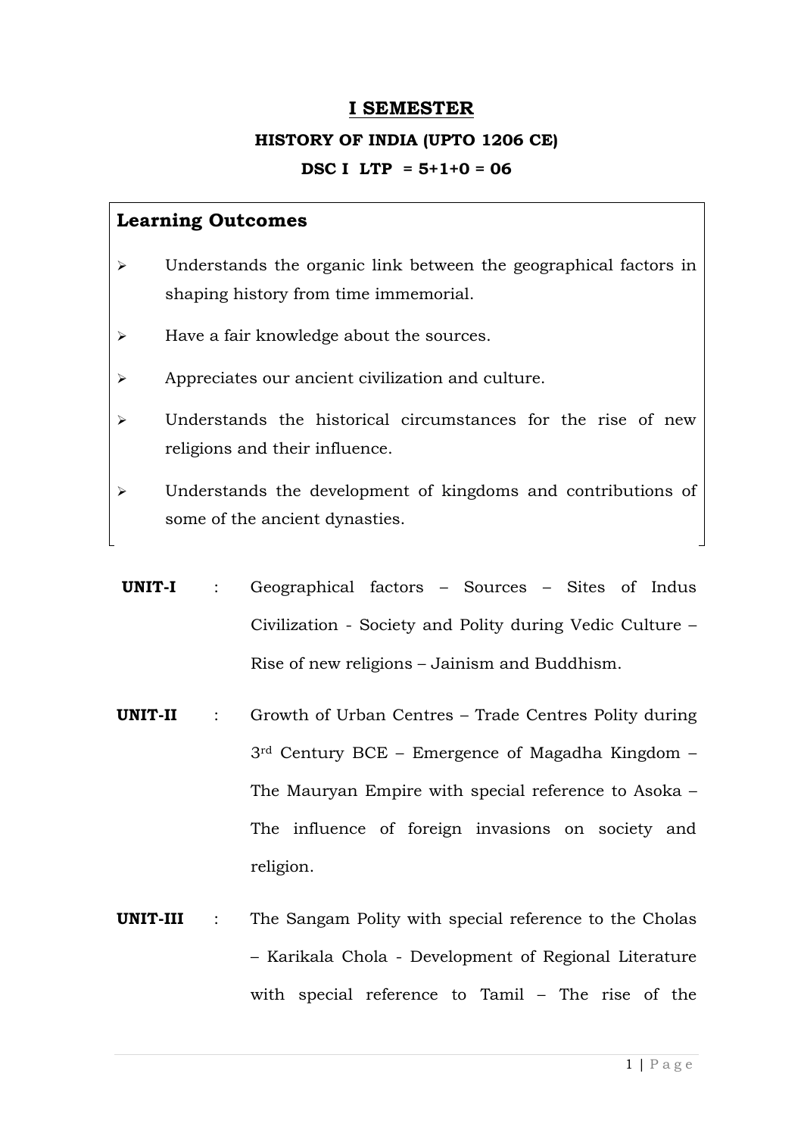#### **I SEMESTER**

## **HISTORY OF INDIA (UPTO 1206 CE) DSC I LTP = 5+1+0 = 06**

- Understands the organic link between the geographical factors in shaping history from time immemorial.
- $\triangleright$  Have a fair knowledge about the sources.
- Appreciates our ancient civilization and culture.
- $\triangleright$  Understands the historical circumstances for the rise of new religions and their influence.
- Understands the development of kingdoms and contributions of some of the ancient dynasties.
- **UNIT-I** : Geographical factors Sources Sites of Indus Civilization - Society and Polity during Vedic Culture – Rise of new religions – Jainism and Buddhism.
- **UNIT-II** : Growth of Urban Centres Trade Centres Polity during 3rd Century BCE – Emergence of Magadha Kingdom – The Mauryan Empire with special reference to Asoka – The influence of foreign invasions on society and religion.
- **UNIT-III** : The Sangam Polity with special reference to the Cholas – Karikala Chola - Development of Regional Literature with special reference to Tamil – The rise of the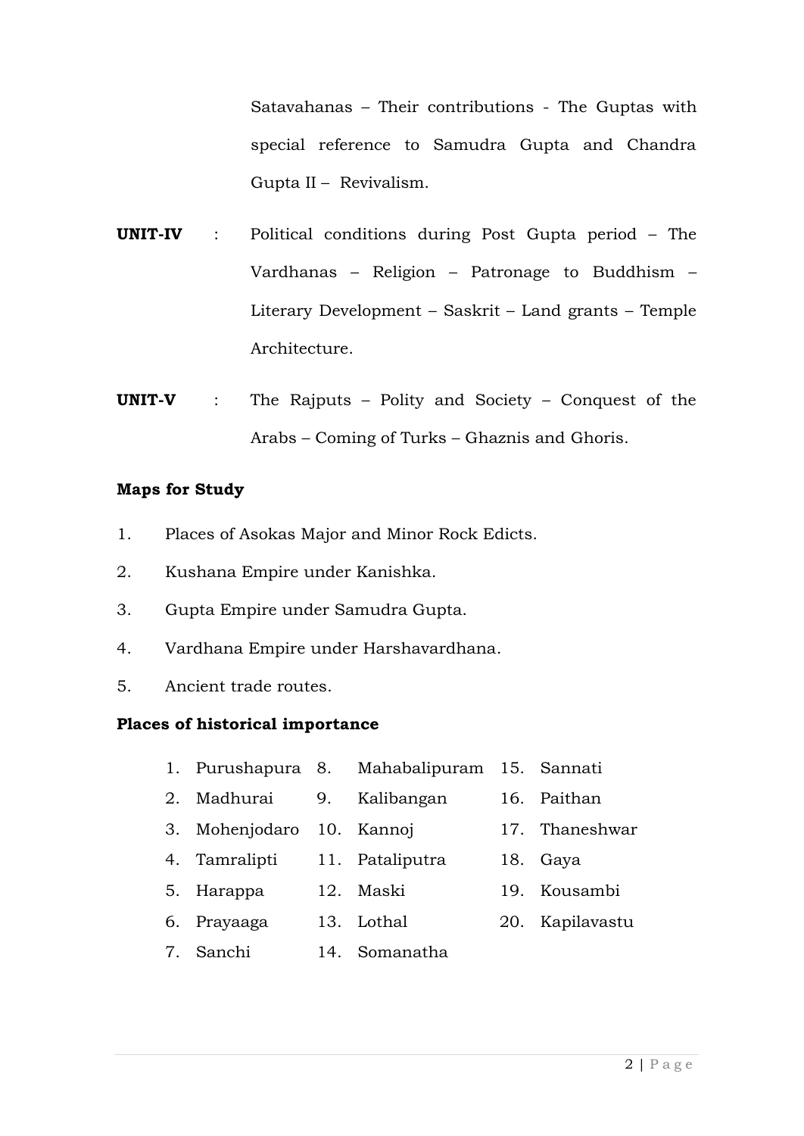Satavahanas – Their contributions - The Guptas with special reference to Samudra Gupta and Chandra Gupta II – Revivalism.

- **UNIT-IV** : Political conditions during Post Gupta period The Vardhanas – Religion – Patronage to Buddhism – Literary Development – Saskrit – Land grants – Temple Architecture.
- **UNIT-V** : The Rajputs Polity and Society Conquest of the Arabs – Coming of Turks – Ghaznis and Ghoris.

#### **Maps for Study**

- 1. Places of Asokas Major and Minor Rock Edicts.
- 2. Kushana Empire under Kanishka.
- 3. Gupta Empire under Samudra Gupta.
- 4. Vardhana Empire under Harshavardhana.
- 5. Ancient trade routes.

#### **Places of historical importance**

- 1. Purushapura 8. Mahabalipuram 15. Sannati
- 2. Madhurai 9. Kalibangan 16. Paithan
- 3. Mohenjodaro 10. Kannoj 17. Thaneshwar
- 4. Tamralipti 11. Pataliputra 18. Gaya
- 5. Harappa 12. Maski 19. Kousambi
- 6. Prayaaga 13. Lothal 20. Kapilavastu
- 7. Sanchi 14. Somanatha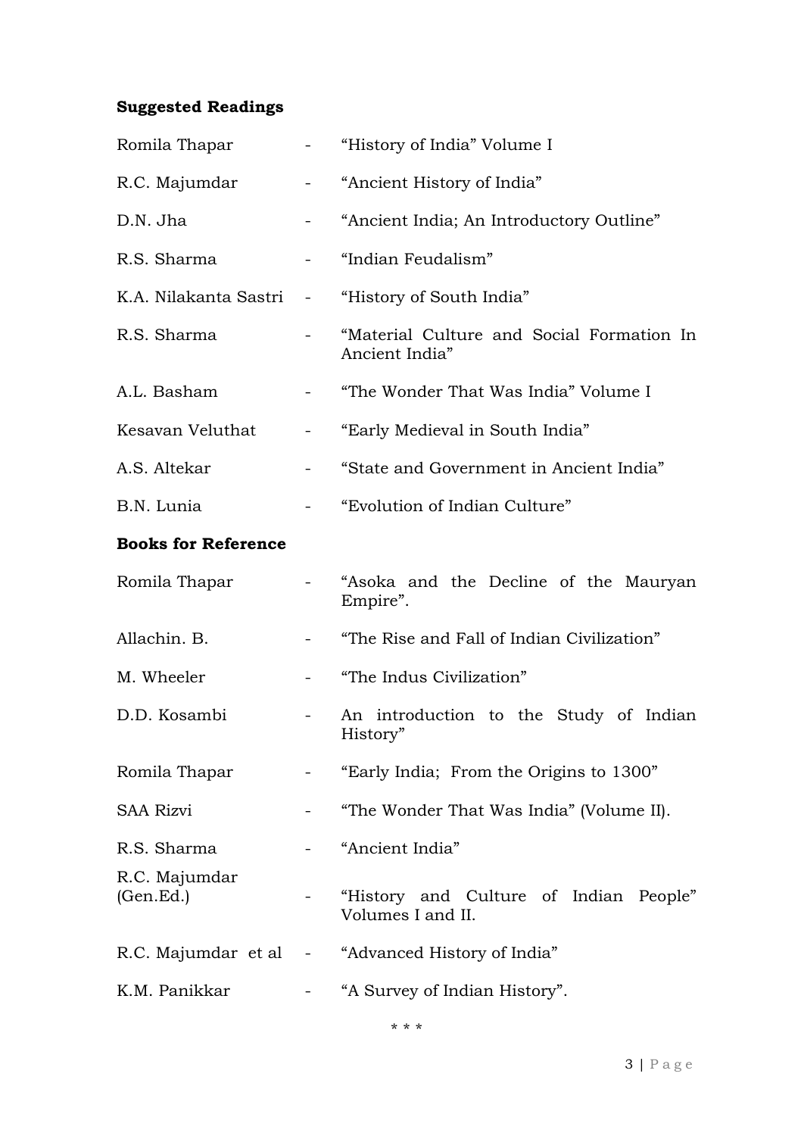### **Suggested Readings**

| Romila Thapar              |                | "History of India" Volume I                                 |  |  |  |
|----------------------------|----------------|-------------------------------------------------------------|--|--|--|
| R.C. Majumdar              |                | "Ancient History of India"                                  |  |  |  |
| D.N. Jha                   |                | "Ancient India; An Introductory Outline"                    |  |  |  |
| R.S. Sharma                |                | "Indian Feudalism"                                          |  |  |  |
| K.A. Nilakanta Sastri      | $\sim$ $-$     | "History of South India"                                    |  |  |  |
| R.S. Sharma                |                | "Material Culture and Social Formation In<br>Ancient India" |  |  |  |
| A.L. Basham                |                | "The Wonder That Was India" Volume I                        |  |  |  |
| Kesavan Veluthat           | $\blacksquare$ | "Early Medieval in South India"                             |  |  |  |
| A.S. Altekar               |                | "State and Government in Ancient India"                     |  |  |  |
| B.N. Lunia                 |                | "Evolution of Indian Culture"                               |  |  |  |
| <b>Books for Reference</b> |                |                                                             |  |  |  |
| Romila Thapar              |                | "Asoka and the Decline of the Mauryan<br>Empire".           |  |  |  |
| Allachin. B.               |                | "The Rise and Fall of Indian Civilization"                  |  |  |  |
| M. Wheeler                 |                | "The Indus Civilization"                                    |  |  |  |
| D.D. Kosambi               |                | An introduction to the Study of Indian<br>History"          |  |  |  |
| Romila Thapar              |                | "Early India; From the Origins to 1300"                     |  |  |  |
| <b>SAA Rizvi</b>           |                | "The Wonder That Was India" (Volume II).                    |  |  |  |
| R.S. Sharma                |                | "Ancient India"                                             |  |  |  |
| R.C. Majumdar<br>(Gen.Ed.) |                | "History and Culture of Indian People"<br>Volumes I and II. |  |  |  |
|                            |                | R.C. Majumdar et al - "Advanced History of India"           |  |  |  |
| K.M. Panikkar              |                | "A Survey of Indian History".                               |  |  |  |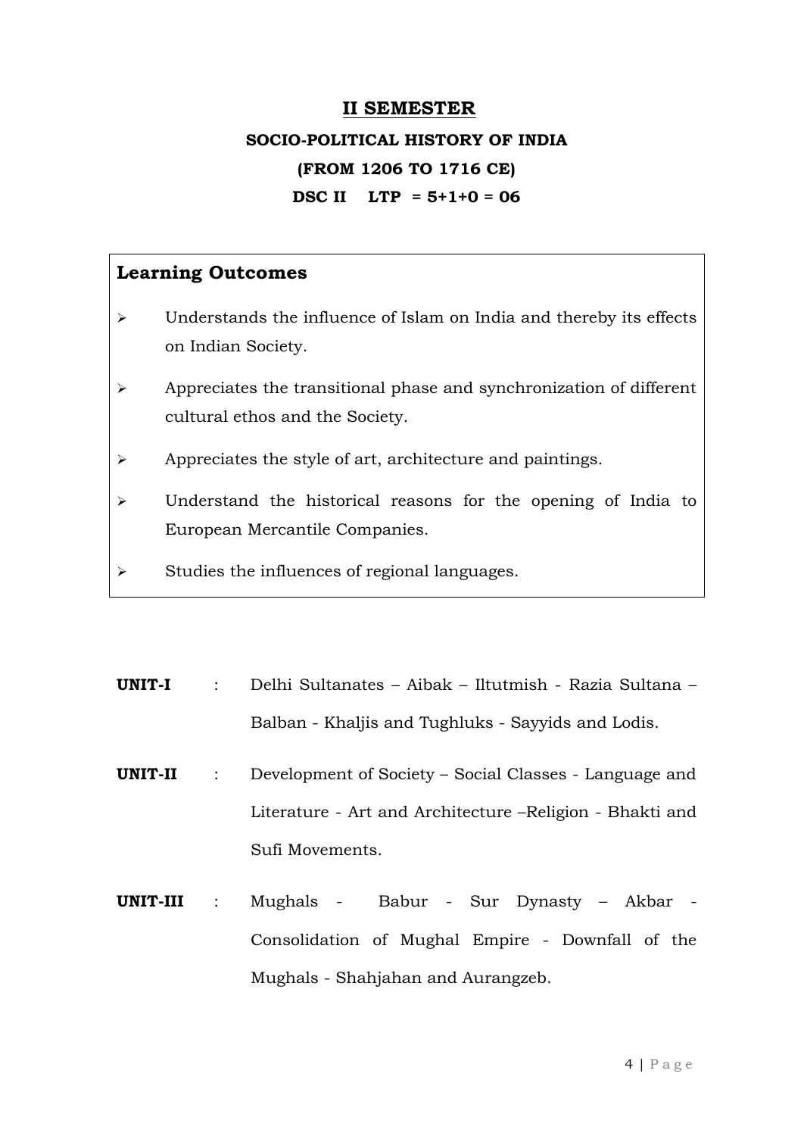#### **II SEMESTER**

## **SOCIO-POLITICAL HISTORY OF INDIA (FROM 1206 TO 1716 CE) DSC II LTP = 5+1+0 = 06**

- $\triangleright$  Understands the influence of Islam on India and thereby its effects on Indian Society.
- $\triangleright$  Appreciates the transitional phase and synchronization of different cultural ethos and the Society.
- Appreciates the style of art, architecture and paintings.
- Understand the historical reasons for the opening of India to European Mercantile Companies.
- $\triangleright$  Studies the influences of regional languages.
- **UNIT-I** : Delhi Sultanates Aibak Iltutmish Razia Sultana Balban - Khaljis and Tughluks - Sayyids and Lodis.
- **UNIT-II** : Development of Society Social Classes Language and Literature - Art and Architecture –Religion - Bhakti and Sufi Movements.
- **UNIT-III** : Mughals Babur Sur Dynasty Akbar Consolidation of Mughal Empire - Downfall of the Mughals - Shahjahan and Aurangzeb.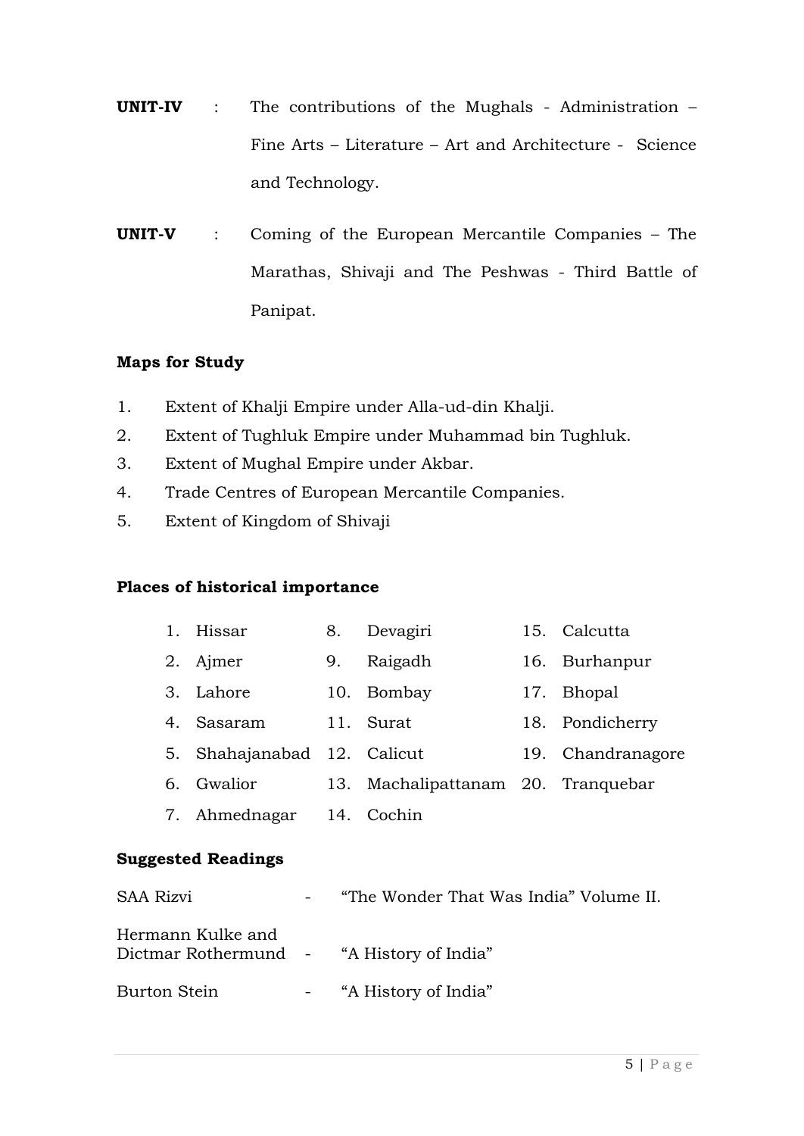- **UNIT-IV** : The contributions of the Mughals Administration Fine Arts – Literature – Art and Architecture - Science and Technology.
- **UNIT-V** : Coming of the European Mercantile Companies The Marathas, Shivaji and The Peshwas - Third Battle of Panipat.

#### **Maps for Study**

- 1. Extent of Khalji Empire under Alla-ud-din Khalji.
- 2. Extent of Tughluk Empire under Muhammad bin Tughluk.
- 3. Extent of Mughal Empire under Akbar.
- 4. Trade Centres of European Mercantile Companies.
- 5. Extent of Kingdom of Shivaji

#### **Places of historical importance**

| 1. | Hissar                      | 8.  | Devagiri                       |     | 15. Calcutta    |
|----|-----------------------------|-----|--------------------------------|-----|-----------------|
| 2. | Ajmer                       | 9.  | Raigadh                        |     | 16. Burhanpur   |
|    | 3. Lahore                   |     | 10. Bombay                     |     | 17. Bhopal      |
| 4. | Sasaram                     |     | 11. Surat                      |     | 18. Pondicherry |
|    | 5. Shahajanabad 12. Calicut |     |                                | 19. | Chandranagore   |
| 6. | Gwalior                     | 13. | Machalipattanam 20. Tranquebar |     |                 |
|    | 7. Ahmednagar               |     | 14. Cochin                     |     |                 |
|    |                             |     |                                |     |                 |

#### **Suggested Readings**

| <b>SAA Rizvi</b>                                               | "The Wonder That Was India" Volume II. |
|----------------------------------------------------------------|----------------------------------------|
| Hermann Kulke and<br>Dictmar Rothermund - "A History of India" |                                        |
| Burton Stein                                                   | - "A History of India"                 |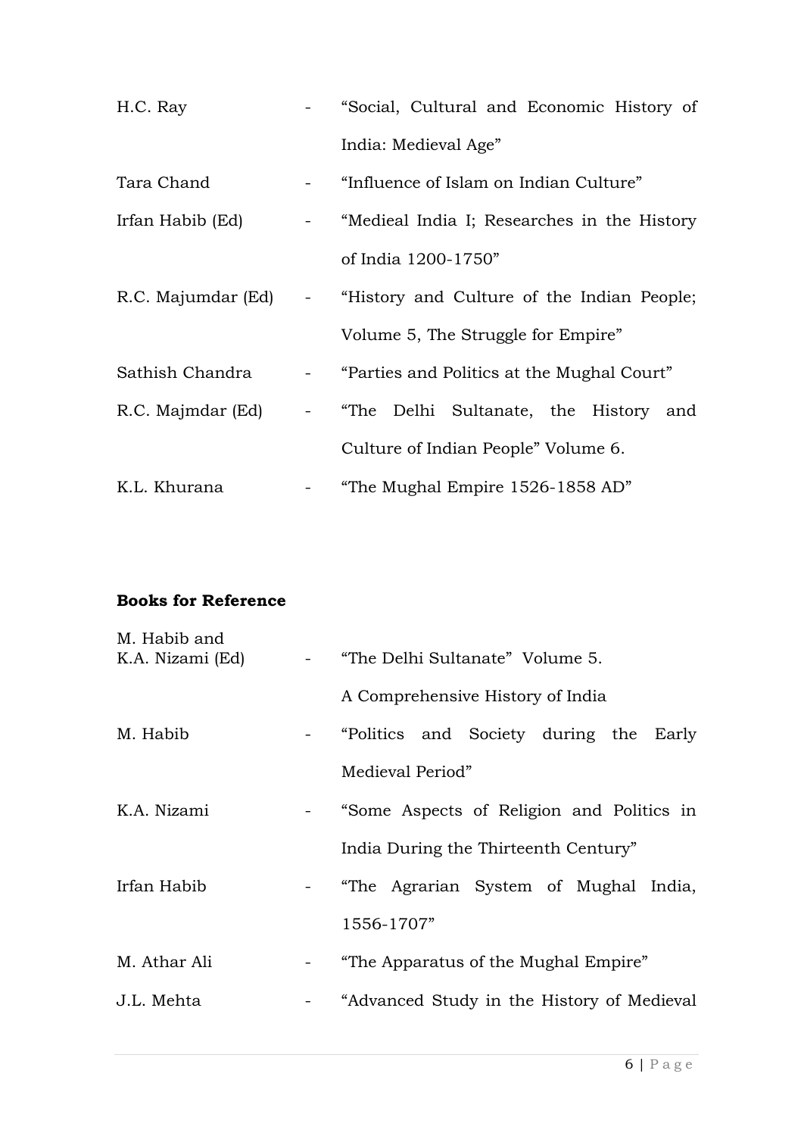| H.C. Ray          | - "Social, Cultural and Economic History of                     |  |  |  |  |
|-------------------|-----------------------------------------------------------------|--|--|--|--|
|                   | India: Medieval Age"                                            |  |  |  |  |
| Tara Chand        | - "Influence of Islam on Indian Culture"                        |  |  |  |  |
| Irfan Habib (Ed)  | - "Medieal India I; Researches in the History                   |  |  |  |  |
|                   | of India 1200-1750"                                             |  |  |  |  |
|                   | R.C. Majumdar (Ed) - "History and Culture of the Indian People; |  |  |  |  |
|                   | Volume 5, The Struggle for Empire"                              |  |  |  |  |
| Sathish Chandra   | - "Parties and Politics at the Mughal Court"                    |  |  |  |  |
| R.C. Majmdar (Ed) | - "The Delhi Sultanate, the History and                         |  |  |  |  |
|                   | Culture of Indian People" Volume 6.                             |  |  |  |  |
| K.L. Khurana      | "The Mughal Empire 1526-1858 AD"                                |  |  |  |  |

#### **Books for Reference**

| M. Habib and<br>K.A. Nizami (Ed) |                                                                                     | - "The Delhi Sultanate" Volume 5.          |  |  |  |  |  |
|----------------------------------|-------------------------------------------------------------------------------------|--------------------------------------------|--|--|--|--|--|
|                                  |                                                                                     | A Comprehensive History of India           |  |  |  |  |  |
| M. Habib                         |                                                                                     | - "Politics and Society during the Early   |  |  |  |  |  |
|                                  |                                                                                     | Medieval Period"                           |  |  |  |  |  |
| K.A. Nizami                      |                                                                                     | "Some Aspects of Religion and Politics in  |  |  |  |  |  |
|                                  |                                                                                     | India During the Thirteenth Century"       |  |  |  |  |  |
| Irfan Habib                      |                                                                                     | - "The Agrarian System of Mughal India,    |  |  |  |  |  |
|                                  |                                                                                     | 1556-1707"                                 |  |  |  |  |  |
| M. Athar Ali                     | $\frac{1}{2} \left( \frac{1}{2} \right)$ , $\frac{1}{2} \left( \frac{1}{2} \right)$ | "The Apparatus of the Mughal Empire"       |  |  |  |  |  |
| J.L. Mehta                       |                                                                                     | "Advanced Study in the History of Medieval |  |  |  |  |  |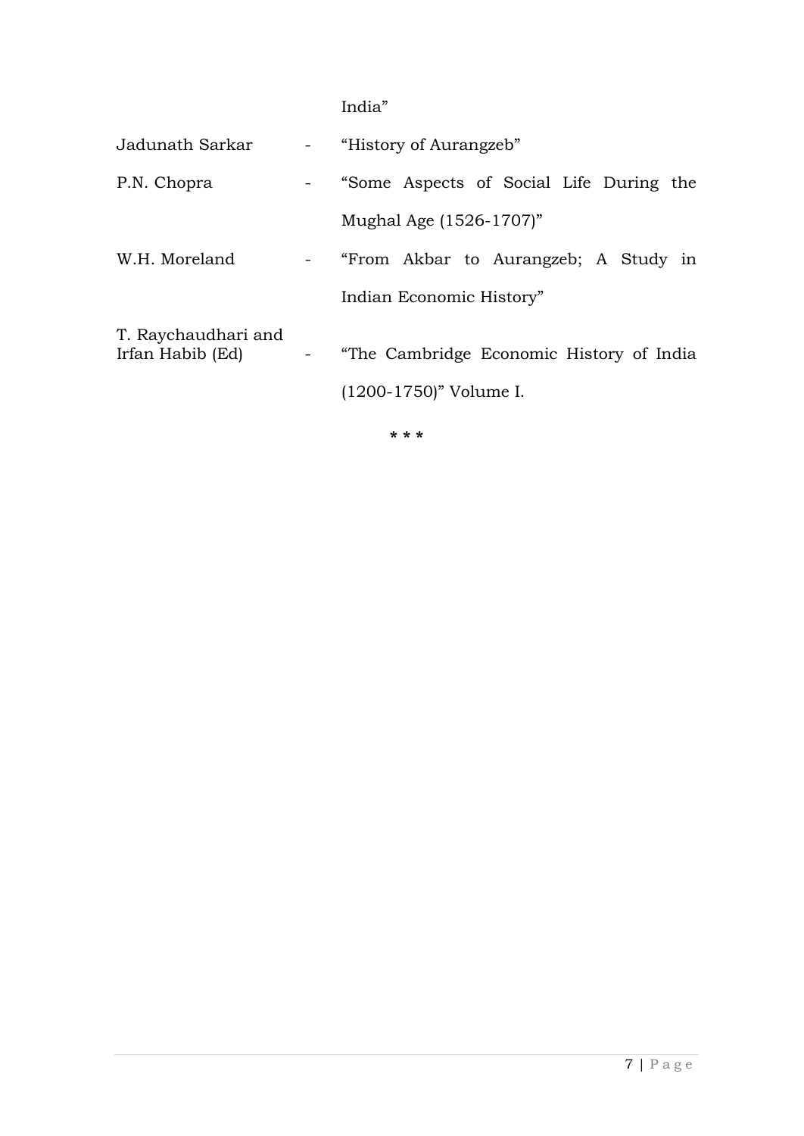India"

| Jadunath Sarkar                         | - "History of Aurangzeb"                                                |
|-----------------------------------------|-------------------------------------------------------------------------|
| P.N. Chopra                             | - "Some Aspects of Social Life During the                               |
|                                         | Mughal Age (1526-1707)"                                                 |
| W.H. Moreland                           | - "From Akbar to Aurangzeb; A Study in                                  |
|                                         | Indian Economic History"                                                |
| T. Raychaudhari and<br>Irfan Habib (Ed) | - "The Cambridge Economic History of India<br>$(1200-1750)$ " Volume I. |
|                                         | * * *                                                                   |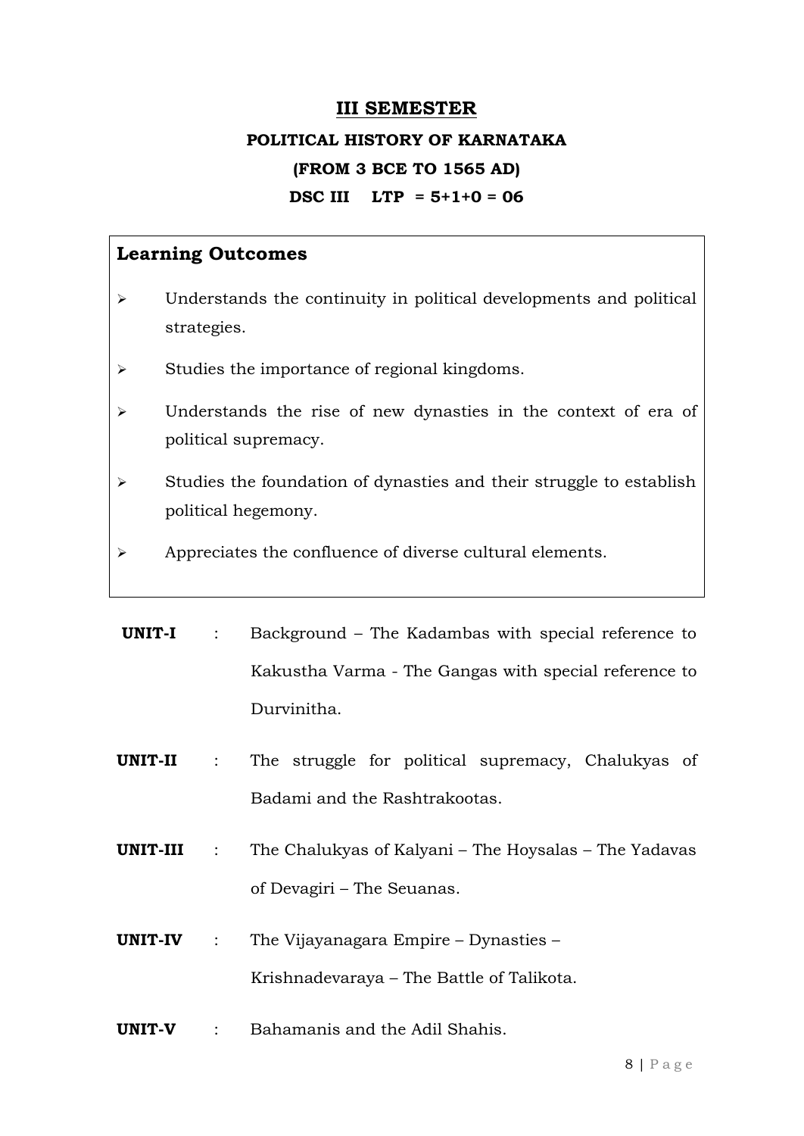#### **III SEMESTER**

## **POLITICAL HISTORY OF KARNATAKA (FROM 3 BCE TO 1565 AD) DSC III LTP = 5+1+0 = 06**

- $\triangleright$  Understands the continuity in political developments and political strategies.
- $\triangleright$  Studies the importance of regional kingdoms.
- Understands the rise of new dynasties in the context of era of political supremacy.
- $\triangleright$  Studies the foundation of dynasties and their struggle to establish political hegemony.
- Appreciates the confluence of diverse cultural elements.
- **UNIT-I** : Background The Kadambas with special reference to Kakustha Varma - The Gangas with special reference to Durvinitha.
- **UNIT-II** : The struggle for political supremacy, Chalukyas of Badami and the Rashtrakootas.
- **UNIT-III** : The Chalukyas of Kalyani The Hoysalas The Yadavas of Devagiri – The Seuanas.
- **UNIT-IV** : The Vijayanagara Empire Dynasties Krishnadevaraya – The Battle of Talikota.
- **UNIT-V** : Bahamanis and the Adil Shahis.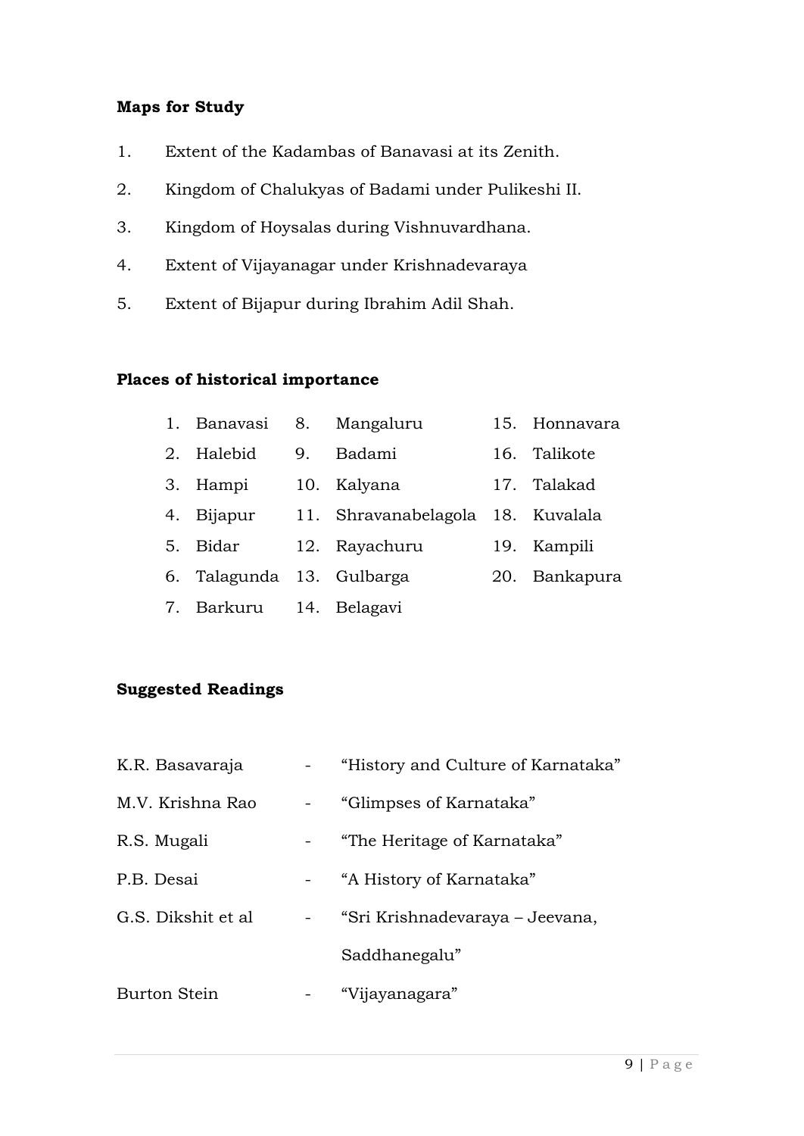#### **Maps for Study**

- 1. Extent of the Kadambas of Banavasi at its Zenith.
- 2. Kingdom of Chalukyas of Badami under Pulikeshi II.
- 3. Kingdom of Hoysalas during Vishnuvardhana.
- 4. Extent of Vijayanagar under Krishnadevaraya
- 5. Extent of Bijapur during Ibrahim Adil Shah.

#### **Places of historical importance**

|    | 1. Banavasi 8. Mangaluru  |    |                                   | 15. Honnavara |
|----|---------------------------|----|-----------------------------------|---------------|
| 2. | Halebid                   | 9. | Badami                            | 16. Talikote  |
|    | 3. Hampi                  |    | 10. Kalyana                       | 17. Talakad   |
|    | 4. Bijapur                |    | 11. Shravanabelagola 18. Kuvalala |               |
|    | 5. Bidar                  |    | 12. Rayachuru                     | 19. Kampili   |
|    | 6. Talagunda 13. Gulbarga |    |                                   | 20. Bankapura |
|    | 7. Barkuru 14. Belagavi   |    |                                   |               |

#### **Suggested Readings**

| K.R. Basavaraja                    | "History and Culture of Karnataka" |
|------------------------------------|------------------------------------|
| M.V. Krishna Rao<br>$\blacksquare$ | "Glimpses of Karnataka"            |
| R.S. Mugali                        | "The Heritage of Karnataka"        |
| P.B. Desai                         | "A History of Karnataka"           |
| G.S. Dikshit et al.                | "Sri Krishnadevaraya – Jeevana,    |
|                                    | Saddhanegalu"                      |
| Burton Stein                       | "Vijayanagara"                     |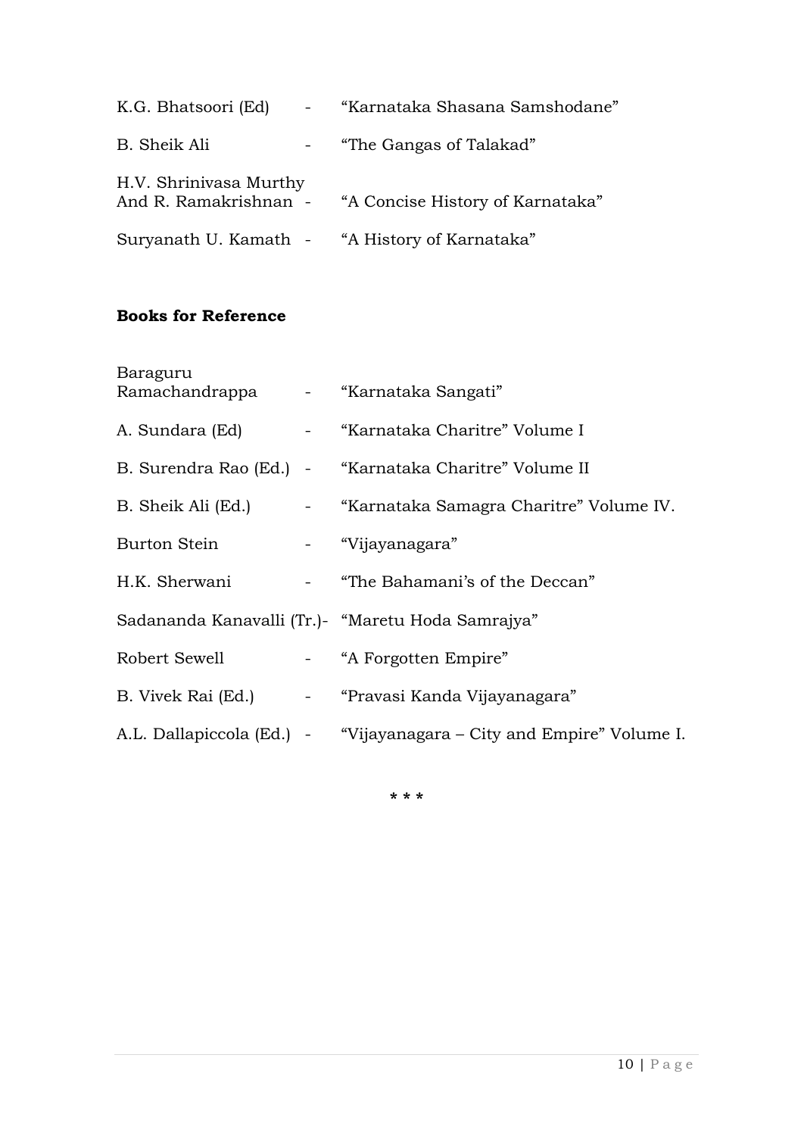| K.G. Bhatsoori (Ed)    | $\frac{1}{2}$ and $\frac{1}{2}$ | "Karnataka Shasana Samshodane"                         |
|------------------------|---------------------------------|--------------------------------------------------------|
| B. Sheik Ali           | $\sim 100$                      | "The Gangas of Talakad"                                |
| H.V. Shrinivasa Murthy |                                 | And R. Ramakrishnan - "A Concise History of Karnataka" |
|                        |                                 | Suryanath U. Kamath - "A History of Karnataka"         |

#### **Books for Reference**

| Baraguru<br>Ramachandrappa - "Karnataka Sangati" |                                                                      |
|--------------------------------------------------|----------------------------------------------------------------------|
|                                                  | A. Sundara (Ed) - "Karnataka Charitre" Volume I                      |
|                                                  | B. Surendra Rao (Ed.) - "Karnataka Charitre" Volume II               |
|                                                  | B. Sheik Ali (Ed.) - "Karnataka Samagra Charitre" Volume IV.         |
| Burton Stein - "Vijayanagara"                    |                                                                      |
|                                                  | H.K. Sherwani - "The Bahamani's of the Deccan"                       |
|                                                  | Sadananda Kanavalli (Tr.) - "Maretu Hoda Samrajya"                   |
| Robert Sewell - "A Forgotten Empire"             |                                                                      |
|                                                  | B. Vivek Rai (Ed.) - "Pravasi Kanda Vijayanagara"                    |
|                                                  | A.L. Dallapiccola (Ed.) - "Vijayanagara – City and Empire" Volume I. |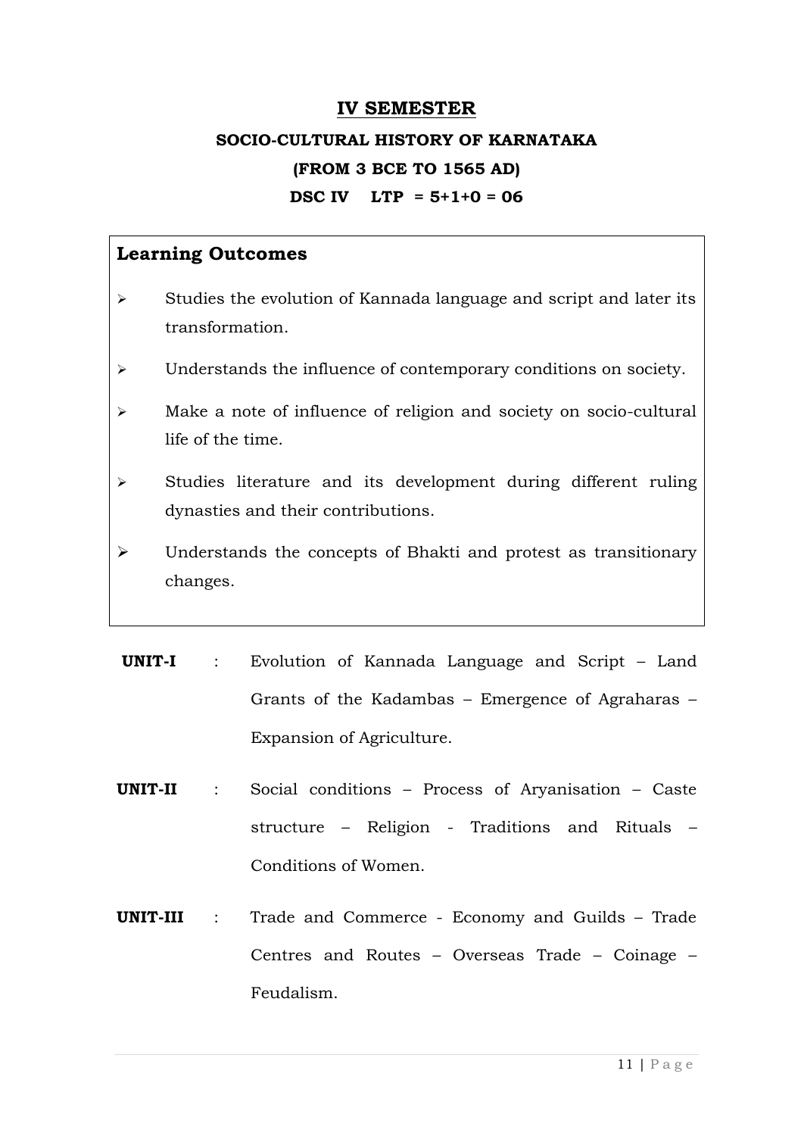#### **IV SEMESTER**

## **SOCIO-CULTURAL HISTORY OF KARNATAKA (FROM 3 BCE TO 1565 AD) DSC IV LTP = 5+1+0 = 06**

- $\triangleright$  Studies the evolution of Kannada language and script and later its transformation.
- Understands the influence of contemporary conditions on society.
- Make a note of influence of religion and society on socio-cultural life of the time.
- $\triangleright$  Studies literature and its development during different ruling dynasties and their contributions.
- Understands the concepts of Bhakti and protest as transitionary changes.
- **UNIT-I** : Evolution of Kannada Language and Script Land Grants of the Kadambas – Emergence of Agraharas – Expansion of Agriculture.
- **UNIT-II** : Social conditions Process of Aryanisation Caste structure – Religion - Traditions and Rituals – Conditions of Women.
- **UNIT-III** : Trade and Commerce Economy and Guilds Trade Centres and Routes – Overseas Trade – Coinage – Feudalism.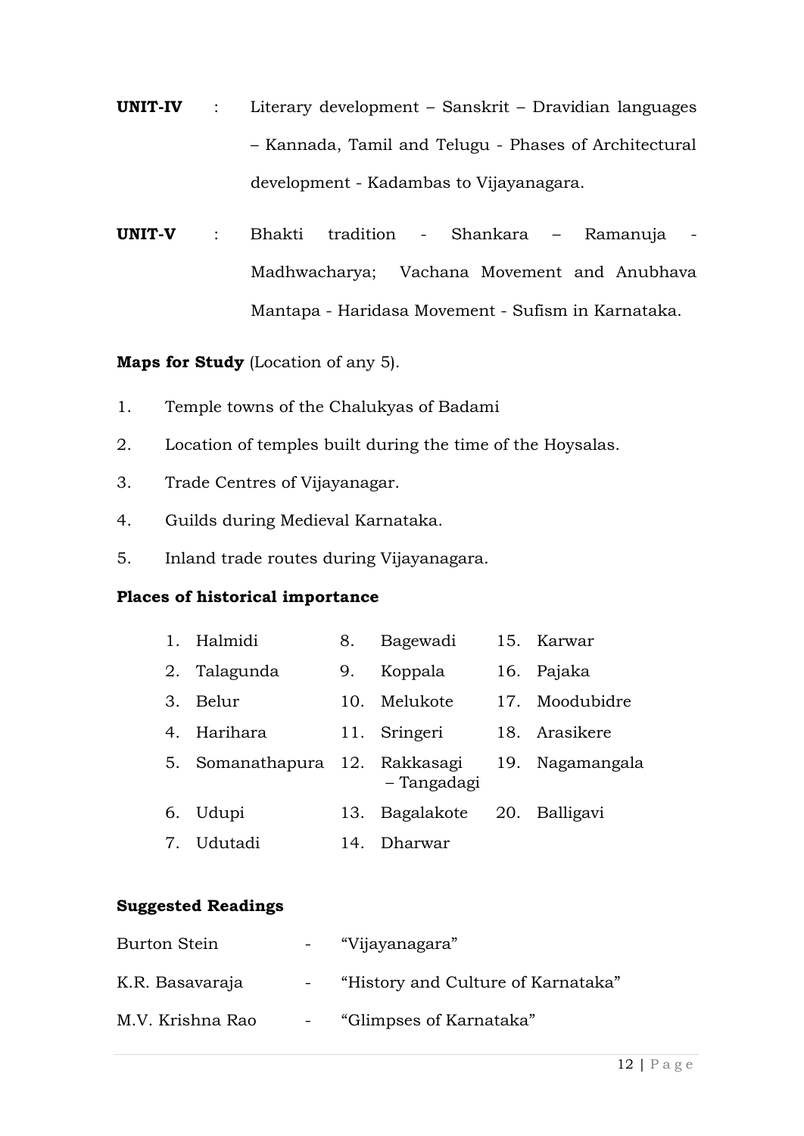- **UNIT-IV** : Literary development Sanskrit Dravidian languages – Kannada, Tamil and Telugu - Phases of Architectural development - Kadambas to Vijayanagara.
- **UNIT-V** : Bhakti tradition Shankara Ramanuja Madhwacharya; Vachana Movement and Anubhava Mantapa - Haridasa Movement - Sufism in Karnataka.

**Maps for Study** (Location of any 5).

- 1. Temple towns of the Chalukyas of Badami
- 2. Location of temples built during the time of the Hoysalas.
- 3. Trade Centres of Vijayanagar.
- 4. Guilds during Medieval Karnataka.
- 5. Inland trade routes during Vijayanagara.

#### **Places of historical importance**

|         | 1. Halmidi                     | 8.  | Bagewadi     | 15. Karwar      |
|---------|--------------------------------|-----|--------------|-----------------|
| 2.      | Talagunda                      | 9.  | Koppala      | 16. Pajaka      |
| $3_{-}$ | Belur                          | 10. | Melukote     | 17. Moodubidre  |
|         | 4. Harihara                    |     | 11. Sringeri | 18. Arasikere   |
|         | 5. Somanathapura 12. Rakkasagi |     | – Tangadagi  | 19. Nagamangala |
|         | 6. Udupi                       | 13. | Bagalakote   | 20. Balligavi   |
|         | 7. Udutadi                     | 14. | Dharwar      |                 |

#### **Suggested Readings**

| Burton Stein     | "Vijayanagara"                     |
|------------------|------------------------------------|
| K.R. Basavaraja  | "History and Culture of Karnataka" |
| M.V. Krishna Rao | "Glimpses of Karnataka"            |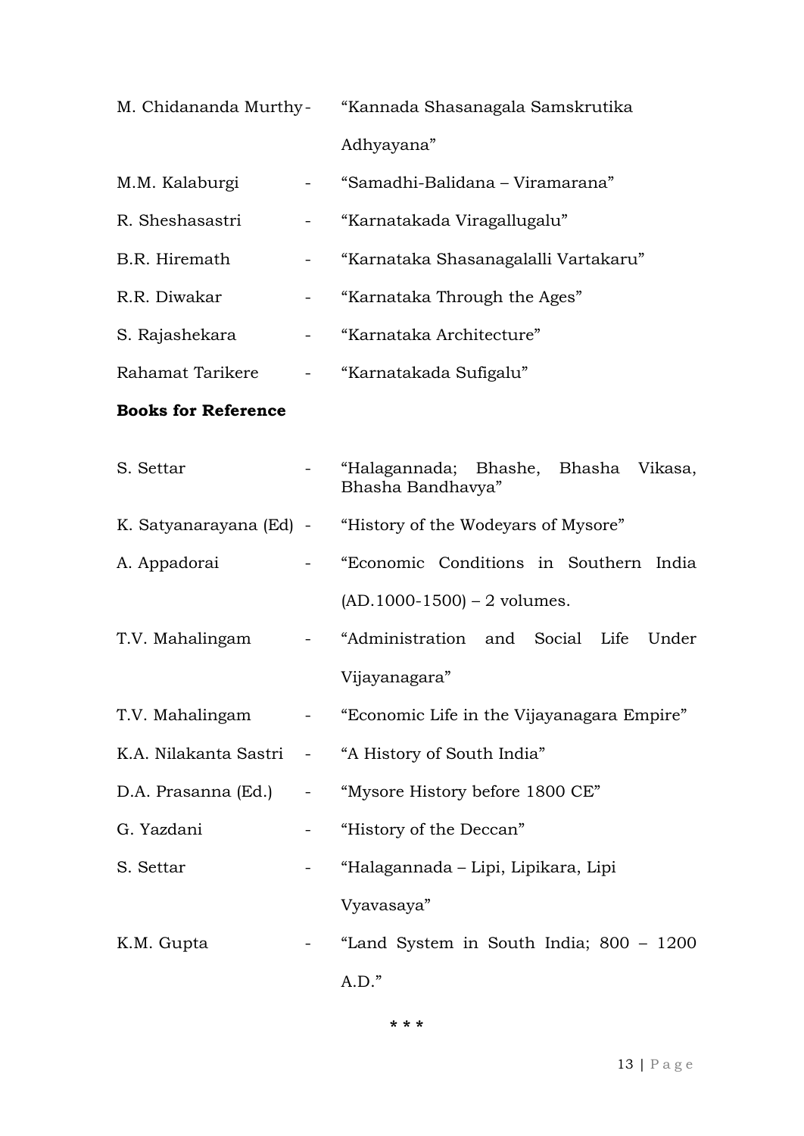|                            |                                   | M. Chidananda Murthy- "Kannada Shasanagala Samskrutika      |
|----------------------------|-----------------------------------|-------------------------------------------------------------|
|                            |                                   | Adhyayana"                                                  |
| M.M. Kalaburgi             |                                   | "Samadhi-Balidana - Viramarana"                             |
| R. Sheshasastri            |                                   | "Karnatakada Viragallugalu"                                 |
| B.R. Hiremath              |                                   | "Karnataka Shasanagalalli Vartakaru"                        |
| R.R. Diwakar               |                                   | "Karnataka Through the Ages"                                |
| S. Rajashekara             | $\frac{1}{2}$ and $\frac{1}{2}$ . | "Karnataka Architecture"                                    |
| Rahamat Tarikere           |                                   | - "Karnatakada Sufigalu"                                    |
| <b>Books for Reference</b> |                                   |                                                             |
| S. Settar                  |                                   | "Halagannada; Bhashe, Bhasha Vikasa,<br>Bhasha Bandhavya"   |
|                            |                                   | K. Satyanarayana (Ed) - "History of the Wodeyars of Mysore" |
| A. Appadorai               |                                   | "Economic Conditions in Southern India                      |
|                            |                                   | $(AD.1000-1500) - 2$ volumes.                               |
| T.V. Mahalingam            |                                   | "Administration and Social Life<br>Under                    |
|                            |                                   | Vijayanagara"                                               |
| T.V. Mahalingam            |                                   | - "Economic Life in the Vijayanagara Empire"                |
|                            |                                   | K.A. Nilakanta Sastri - "A History of South India"          |
| D.A. Prasanna (Ed.)        |                                   | "Mysore History before 1800 CE"                             |
| G. Yazdani                 |                                   | "History of the Deccan"                                     |
| S. Settar                  |                                   | "Halagannada - Lipi, Lipikara, Lipi                         |
|                            |                                   | Vyavasaya"                                                  |
| K.M. Gupta                 |                                   | "Land System in South India; 800 – 1200                     |
|                            |                                   | $A.D.$ "                                                    |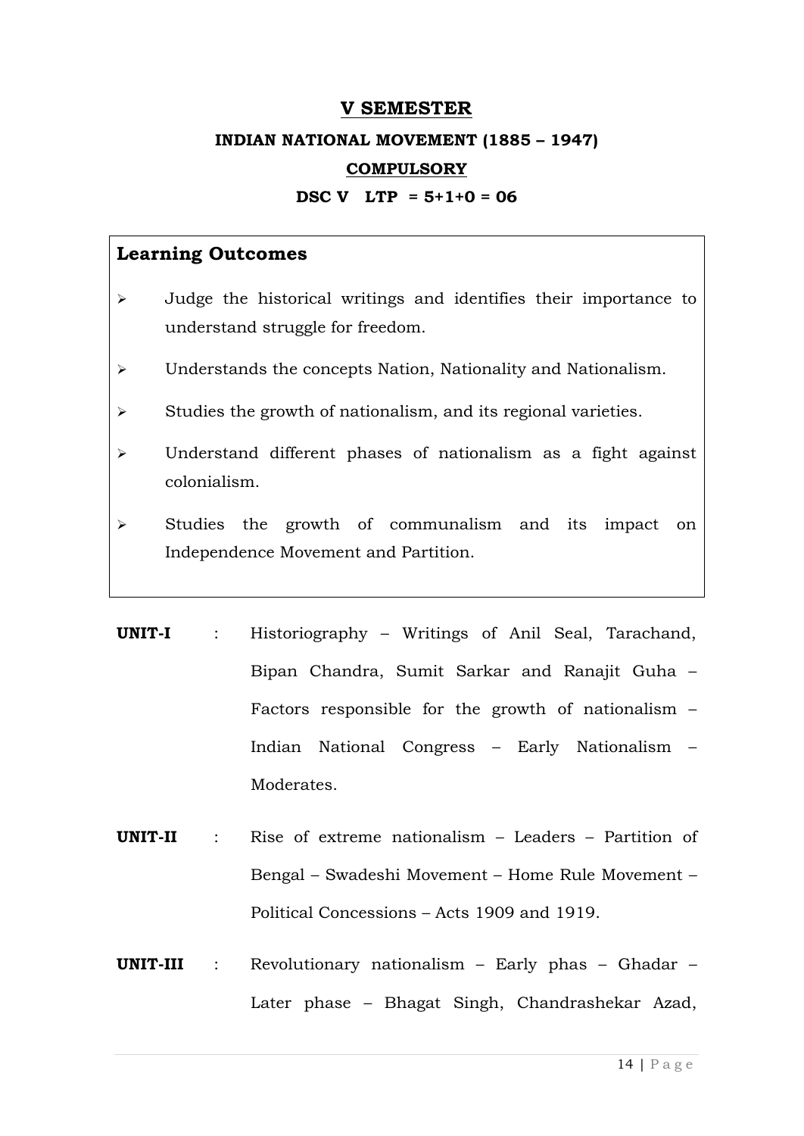#### **V SEMESTER**

## **INDIAN NATIONAL MOVEMENT (1885 – 1947)**

#### **COMPULSORY**

#### **DSC V LTP = 5+1+0 = 06**

- Judge the historical writings and identifies their importance to understand struggle for freedom.
- Understands the concepts Nation, Nationality and Nationalism.
- $\triangleright$  Studies the growth of nationalism, and its regional varieties.
- Understand different phases of nationalism as a fight against colonialism.
- $\triangleright$  Studies the growth of communalism and its impact on Independence Movement and Partition.
- **UNIT-I** : Historiography Writings of Anil Seal, Tarachand, Bipan Chandra, Sumit Sarkar and Ranajit Guha – Factors responsible for the growth of nationalism – Indian National Congress – Early Nationalism – Moderates.
- **UNIT-II** : Rise of extreme nationalism Leaders Partition of Bengal – Swadeshi Movement – Home Rule Movement – Political Concessions – Acts 1909 and 1919.
- **UNIT-III** : Revolutionary nationalism Early phas Ghadar Later phase – Bhagat Singh, Chandrashekar Azad,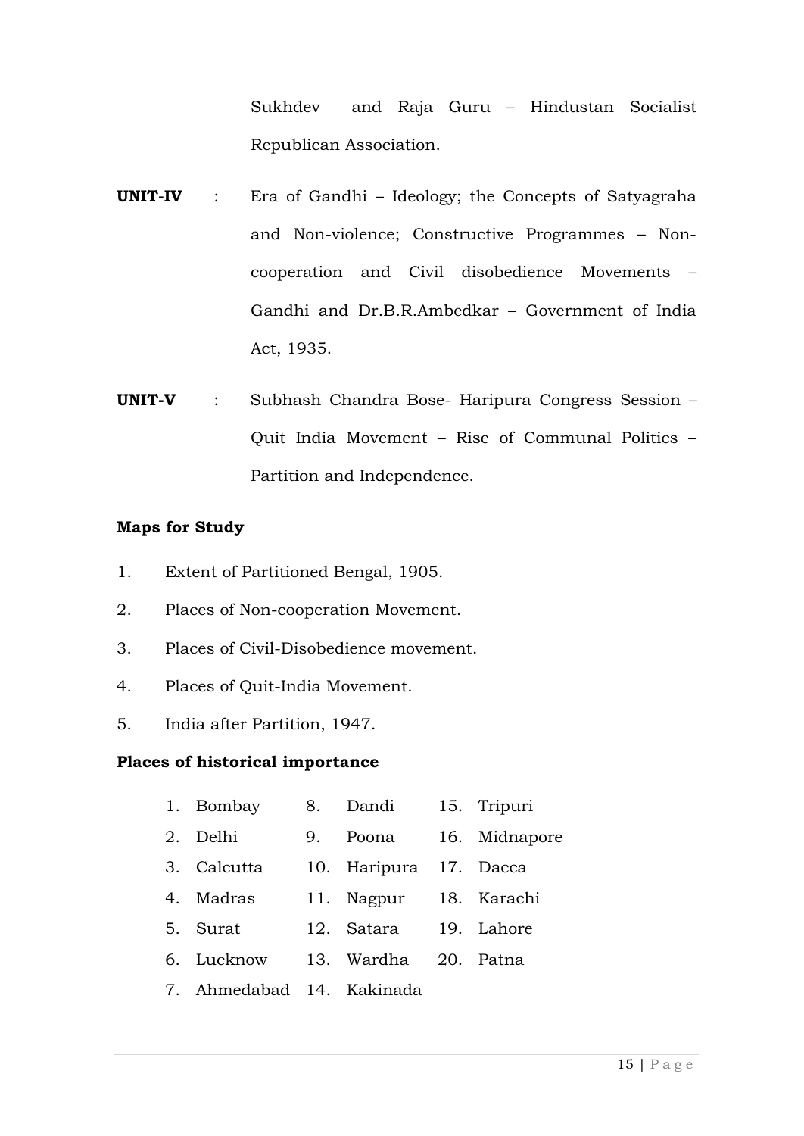Sukhdev and Raja Guru – Hindustan Socialist Republican Association.

- **UNIT-IV** : Era of Gandhi Ideology; the Concepts of Satyagraha and Non-violence; Constructive Programmes – Noncooperation and Civil disobedience Movements – Gandhi and Dr.B.R.Ambedkar – Government of India Act, 1935.
- **UNIT-V** : Subhash Chandra Bose- Haripura Congress Session Quit India Movement – Rise of Communal Politics – Partition and Independence.

#### **Maps for Study**

- 1. Extent of Partitioned Bengal, 1905.
- 2. Places of Non-cooperation Movement.
- 3. Places of Civil-Disobedience movement.
- 4. Places of Quit-India Movement.
- 5. India after Partition, 1947.

#### **Places of historical importance**

- 1. Bombay 8. Dandi 15. Tripuri
- 2. Delhi 9. Poona 16. Midnapore
- 3. Calcutta 10. Haripura 17. Dacca
- 4. Madras 11. Nagpur 18. Karachi
- 5. Surat 12. Satara 19. Lahore
- 6. Lucknow 13. Wardha 20. Patna
- 7. Ahmedabad 14. Kakinada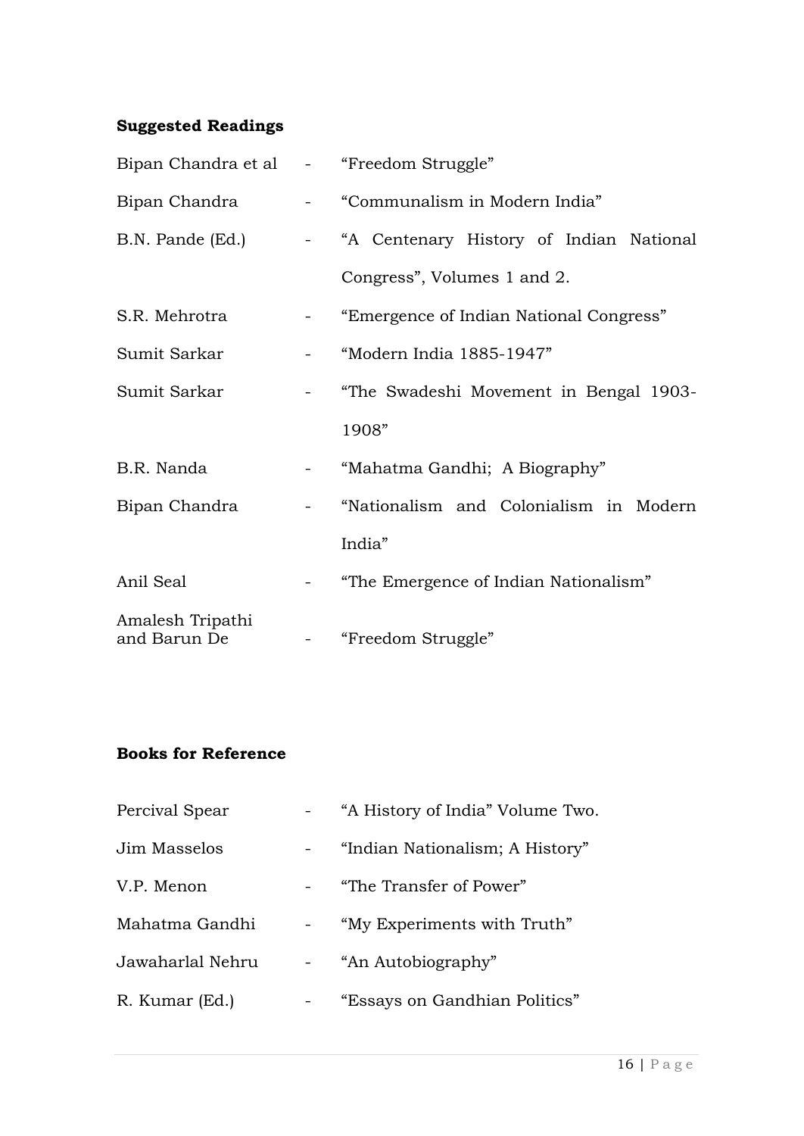#### **Suggested Readings**

| Bipan Chandra et al - "Freedom Struggle" |                                                                                     |                                                            |
|------------------------------------------|-------------------------------------------------------------------------------------|------------------------------------------------------------|
| Bipan Chandra                            |                                                                                     | - "Communalism in Modern India"                            |
|                                          |                                                                                     | B.N. Pande (Ed.) - "A Centenary History of Indian National |
|                                          |                                                                                     | Congress", Volumes 1 and 2.                                |
| S.R. Mehrotra                            |                                                                                     | "Emergence of Indian National Congress"                    |
| Sumit Sarkar                             | $\frac{1}{2} \left( \frac{1}{2} \right)$ , $\frac{1}{2} \left( \frac{1}{2} \right)$ | "Modern India 1885-1947"                                   |
| Sumit Sarkar                             |                                                                                     | - "The Swadeshi Movement in Bengal 1903-                   |
|                                          |                                                                                     | 1908"                                                      |
| B.R. Nanda                               |                                                                                     | "Mahatma Gandhi; A Biography"                              |
| Bipan Chandra                            |                                                                                     | - "Nationalism and Colonialism in Modern                   |
|                                          |                                                                                     | India"                                                     |
| Anil Seal                                |                                                                                     | - "The Emergence of Indian Nationalism"                    |
| Amalesh Tripathi<br>and Barun De         |                                                                                     | "Freedom Struggle"                                         |

#### **Books for Reference**

| Percival Spear   | "A History of India" Volume Two. |
|------------------|----------------------------------|
| Jim Masselos     | "Indian Nationalism; A History"  |
| V.P. Menon       | "The Transfer of Power"          |
| Mahatma Gandhi   | "My Experiments with Truth"      |
| Jawaharlal Nehru | "An Autobiography"               |
| R. Kumar (Ed.)   | "Essays on Gandhian Politics"    |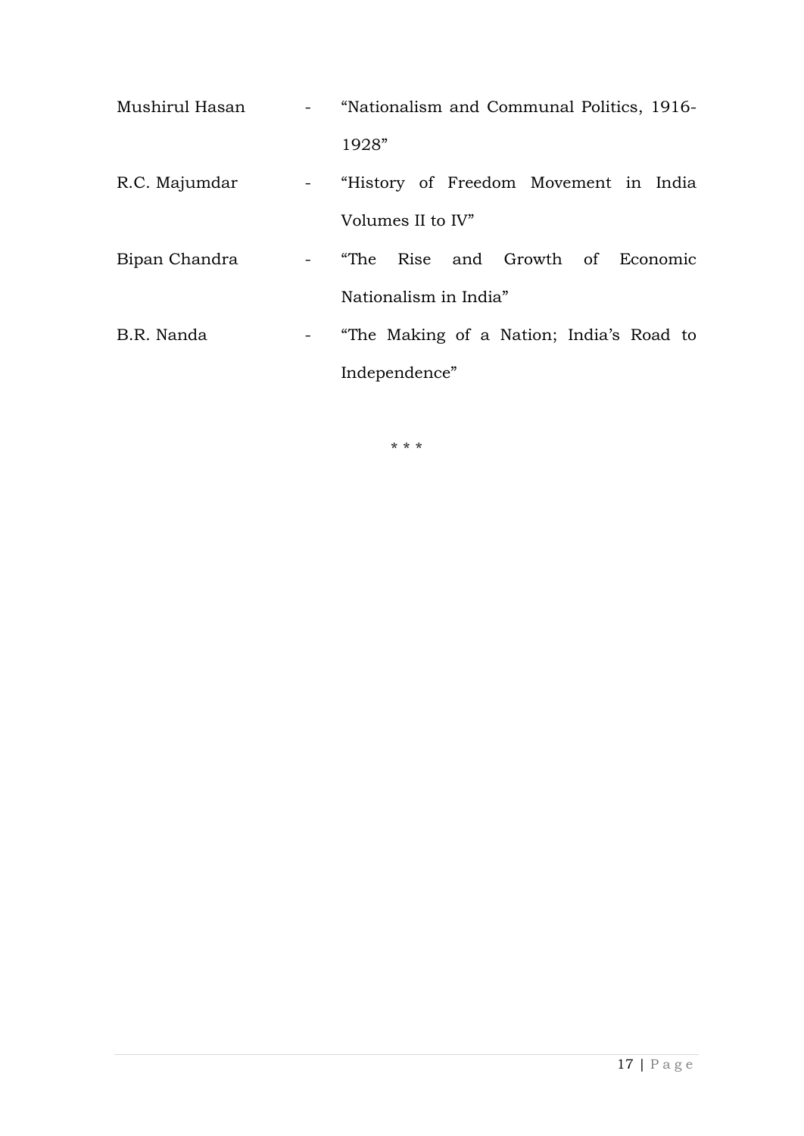| Mushirul Hasan | - "Nationalism and Communal Politics, 1916- |
|----------------|---------------------------------------------|
|                | 1928"                                       |
| R.C. Majumdar  | - "History of Freedom Movement in India     |
|                | Volumes II to IV"                           |
| Bipan Chandra  | - "The Rise and Growth of Economic          |
|                | Nationalism in India"                       |
| B.R. Nanda     | - "The Making of a Nation; India's Road to  |
|                | Independence"                               |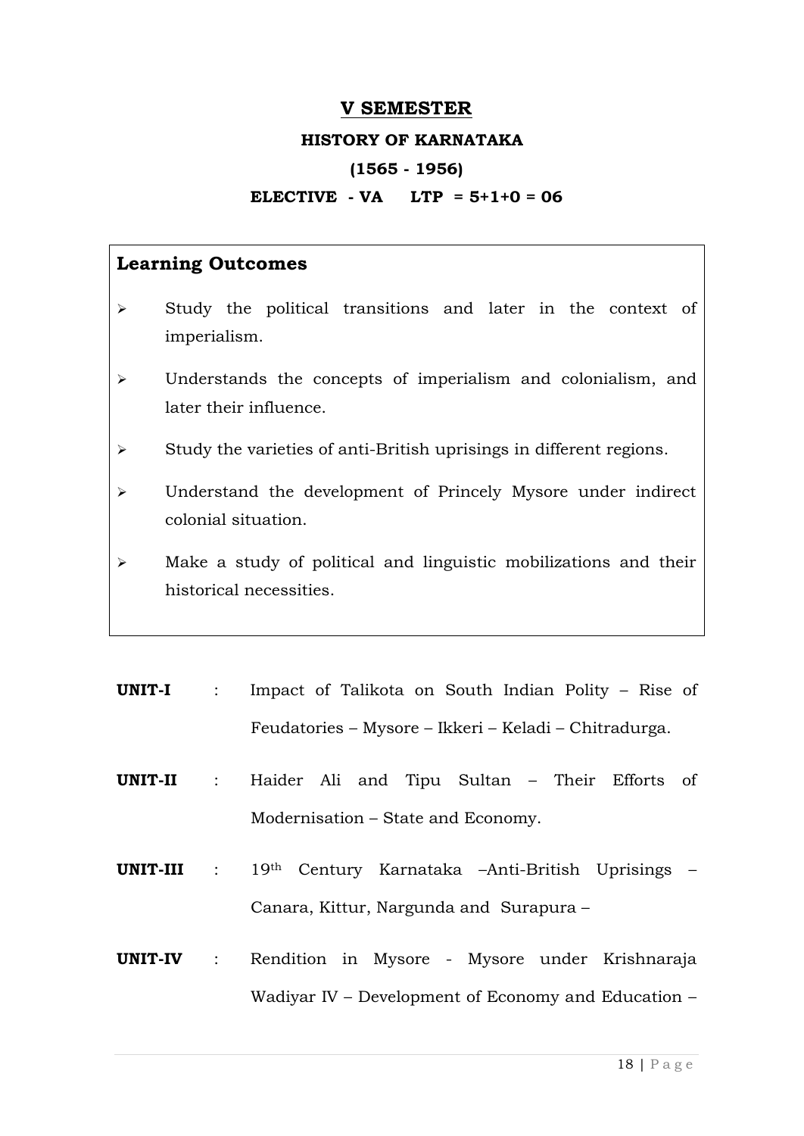#### **V SEMESTER**

#### **HISTORY OF KARNATAKA**

#### **(1565 - 1956)**

#### **ELECTIVE - VA LTP = 5+1+0 = 06**

- $\triangleright$  Study the political transitions and later in the context of imperialism.
- Understands the concepts of imperialism and colonialism, and later their influence.
- $\triangleright$  Study the varieties of anti-British uprisings in different regions.
- Understand the development of Princely Mysore under indirect colonial situation.
- Make a study of political and linguistic mobilizations and their historical necessities.
- **UNIT-I** : Impact of Talikota on South Indian Polity Rise of Feudatories – Mysore – Ikkeri – Keladi – Chitradurga.
- **UNIT-II** : Haider Ali and Tipu Sultan Their Efforts of Modernisation – State and Economy.
- **UNIT-III** : 19th Century Karnataka –Anti-British Uprisings Canara, Kittur, Nargunda and Surapura –
- **UNIT-IV** : Rendition in Mysore Mysore under Krishnaraja Wadiyar IV – Development of Economy and Education –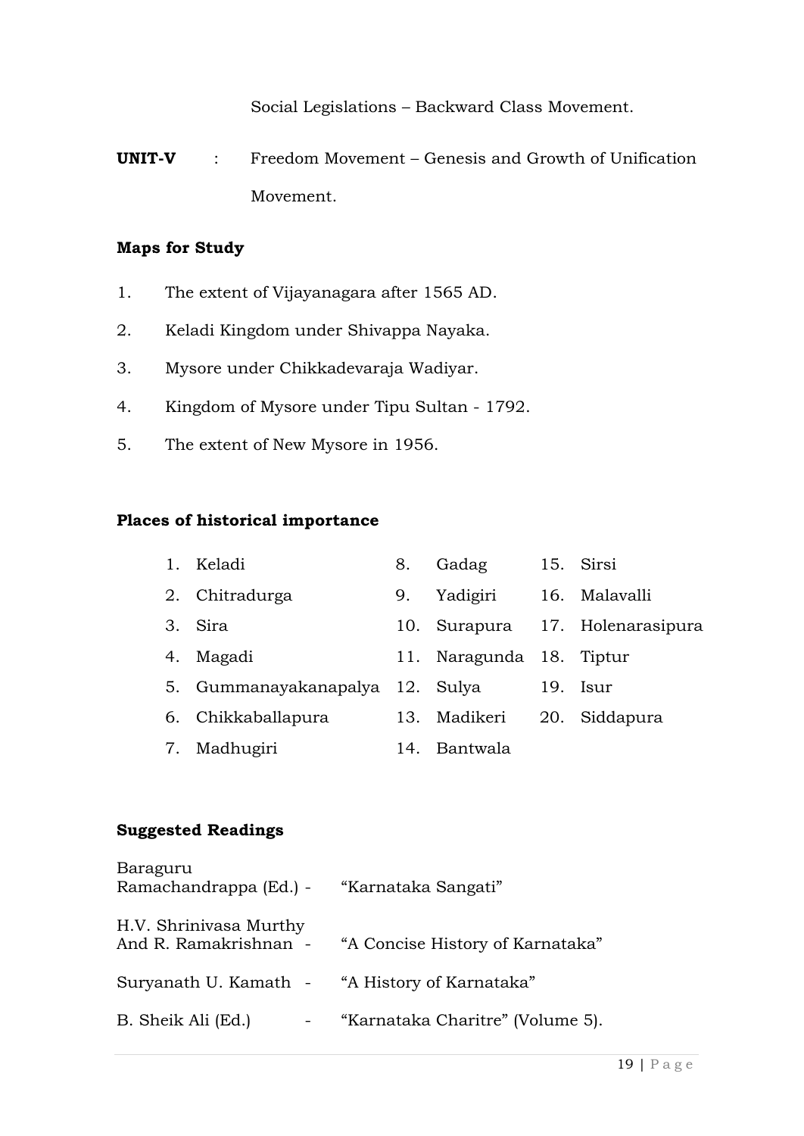Social Legislations – Backward Class Movement.

**UNIT-V** : Freedom Movement – Genesis and Growth of Unification Movement.

#### **Maps for Study**

- 1. The extent of Vijayanagara after 1565 AD.
- 2. Keladi Kingdom under Shivappa Nayaka.
- 3. Mysore under Chikkadevaraja Wadiyar.
- 4. Kingdom of Mysore under Tipu Sultan 1792.
- 5. The extent of New Mysore in 1956.

#### **Places of historical importance**

| 1. Keladi                       | 8.  | Gadag                    |     | 15. Sirsi                   |
|---------------------------------|-----|--------------------------|-----|-----------------------------|
| 2. Chitradurga                  | 9.  | Yadigiri                 |     | 16. Malavalli               |
| 3. Sira                         | 10. |                          |     | Surapura 17. Holenarasipura |
| 4. Magadi                       |     | 11. Naragunda 18. Tiptur |     |                             |
| 5. Gummanayakanapalya 12. Sulya |     |                          | 19. | Isur                        |
| 6. Chikkaballapura              | 13. | Madikeri                 |     | 20. Siddapura               |
| 7. Madhugiri                    |     | 14. Bantwala             |     |                             |

#### **Suggested Readings**

| Baraguru<br>Ramachandrappa (Ed.) -              | "Karnataka Sangati"              |
|-------------------------------------------------|----------------------------------|
| H.V. Shrinivasa Murthy<br>And R. Ramakrishnan - | "A Concise History of Karnataka" |
| Suryanath U. Kamath -                           | "A History of Karnataka"         |
| B. Sheik Ali (Ed.)                              | "Karnataka Charitre" (Volume 5). |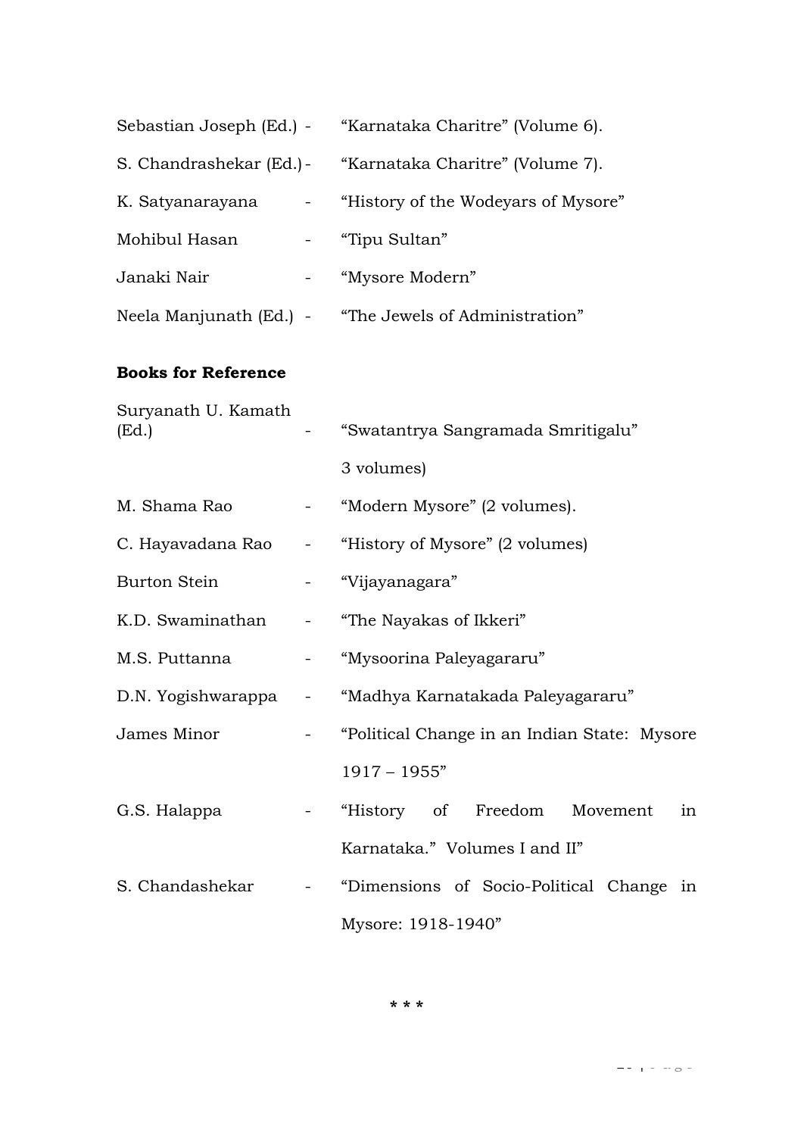|                               |                                                                                     | Sebastian Joseph (Ed.) - "Karnataka Charitre" (Volume 6). |
|-------------------------------|-------------------------------------------------------------------------------------|-----------------------------------------------------------|
|                               |                                                                                     | S. Chandrashekar (Ed.) - "Karnataka Charitre" (Volume 7). |
|                               |                                                                                     | K. Satyanarayana - "History of the Wodeyars of Mysore"    |
| Mohibul Hasan - "Tipu Sultan" |                                                                                     |                                                           |
| Janaki Nair                   |                                                                                     | - "Mysore Modern"                                         |
|                               |                                                                                     | Neela Manjunath (Ed.) - "The Jewels of Administration"    |
| <b>Books for Reference</b>    |                                                                                     |                                                           |
| Suryanath U. Kamath<br>(Ed.)  |                                                                                     | "Swatantrya Sangramada Smritigalu"                        |
|                               |                                                                                     | 3 volumes)                                                |
| M. Shama Rao                  | $\frac{1}{2} \left( \frac{1}{2} \right)$ , $\frac{1}{2} \left( \frac{1}{2} \right)$ | "Modern Mysore" (2 volumes).                              |
| C. Hayavadana Rao       -     |                                                                                     | "History of Mysore" (2 volumes)                           |
| <b>Burton Stein</b>           |                                                                                     | - "Vijayanagara"                                          |
| K.D. Swaminathan              |                                                                                     | - "The Nayakas of Ikkeri"                                 |
| M.S. Puttanna                 |                                                                                     | - "Mysoorina Paleyagararu"                                |
|                               |                                                                                     | D.N. Yogishwarappa - "Madhya Karnatakada Paleyagararu"    |
| James Minor                   |                                                                                     | "Political Change in an Indian State: Mysore              |
|                               |                                                                                     | $1917 - 1955"$                                            |
| G.S. Halappa                  |                                                                                     | - "History of Freedom Movement<br>in                      |
|                               |                                                                                     | Karnataka." Volumes I and II"                             |
| S. Chandashekar               |                                                                                     | - "Dimensions of Socio-Political Change in                |
|                               |                                                                                     | Mysore: 1918-1940"                                        |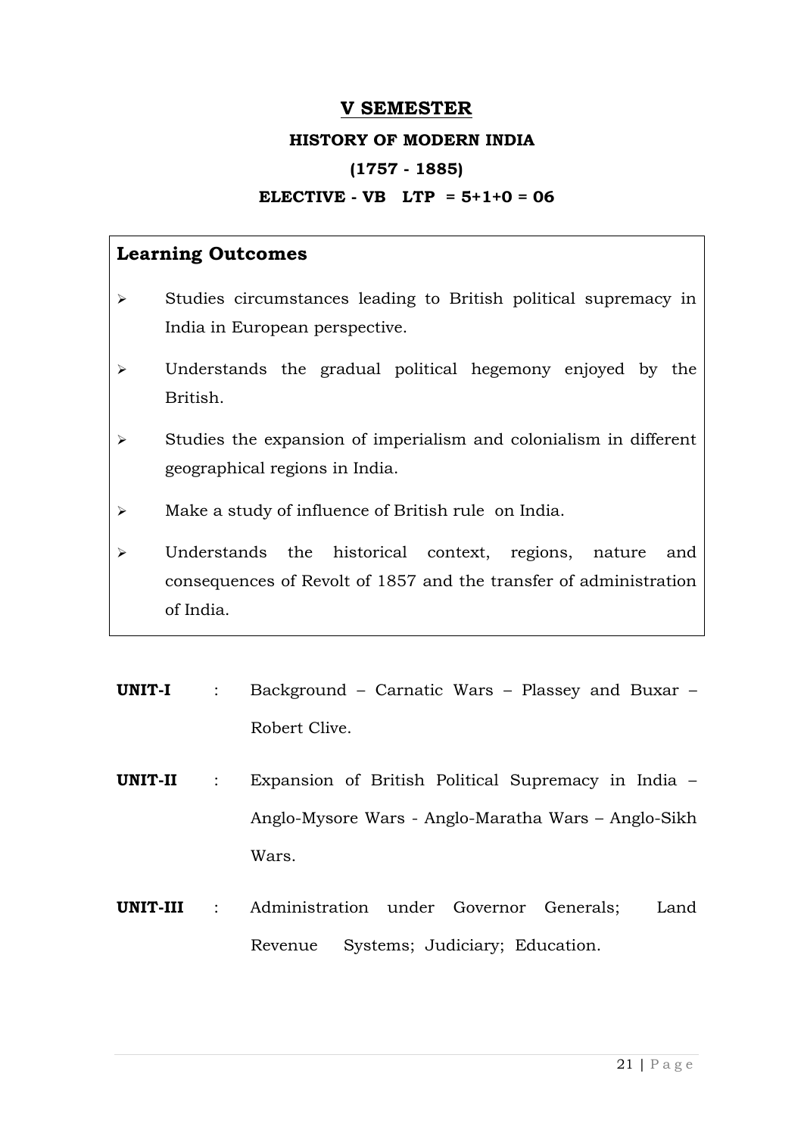#### **V SEMESTER**

#### **HISTORY OF MODERN INDIA**

#### **(1757 - 1885)**

#### **ELECTIVE - VB LTP = 5+1+0 = 06**

- $\triangleright$  Studies circumstances leading to British political supremacy in India in European perspective.
- Understands the gradual political hegemony enjoyed by the British.
- $\triangleright$  Studies the expansion of imperialism and colonialism in different geographical regions in India.
- $\triangleright$  Make a study of influence of British rule on India.
- Understands the historical context, regions, nature and consequences of Revolt of 1857 and the transfer of administration of India.
- **UNIT-I** : Background Carnatic Wars Plassey and Buxar Robert Clive.
- **UNIT-II** : Expansion of British Political Supremacy in India Anglo-Mysore Wars - Anglo-Maratha Wars – Anglo-Sikh Wars.
- **UNIT-III** : Administration under Governor Generals; Land Revenue Systems; Judiciary; Education.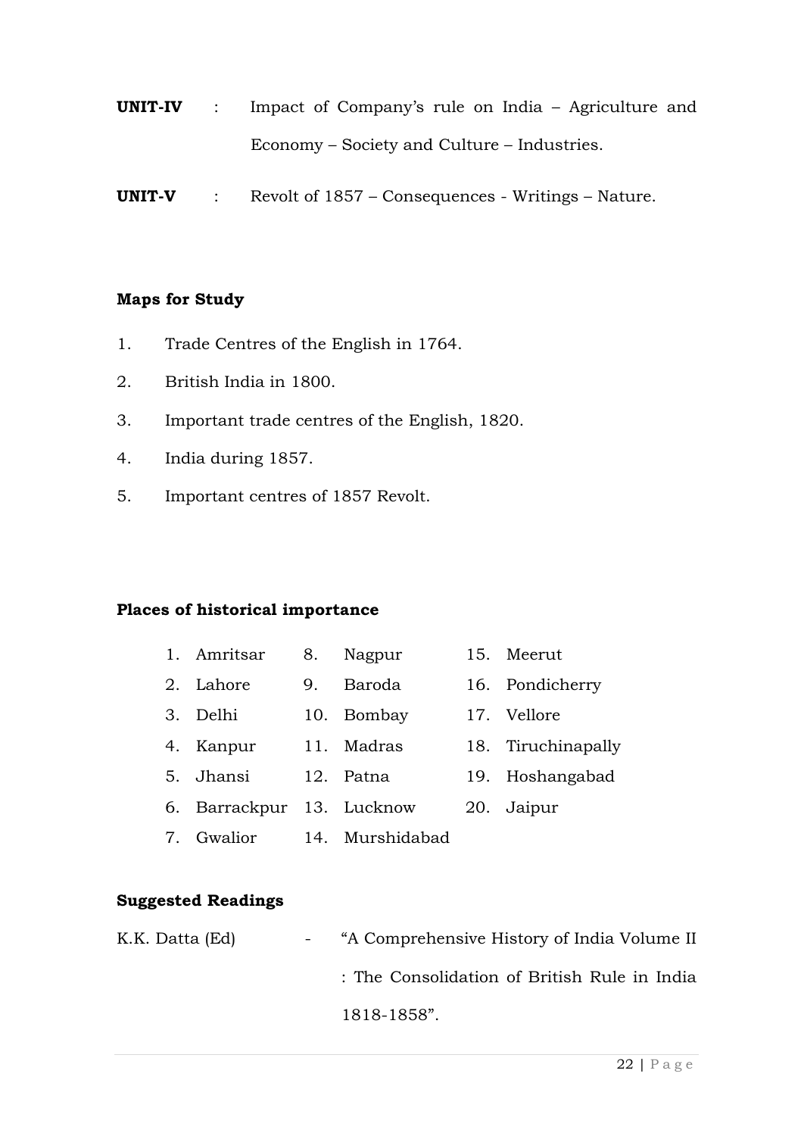- **UNIT-IV** : Impact of Company's rule on India Agriculture and Economy – Society and Culture – Industries.
- **UNIT-V** : Revolt of 1857 Consequences Writings Nature.

#### **Maps for Study**

- 1. Trade Centres of the English in 1764.
- 2. British India in 1800.
- 3. Important trade centres of the English, 1820.
- 4. India during 1857.
- 5. Important centres of 1857 Revolt.

#### **Places of historical importance**

| 1. Amritsar               | 8. | Nagpur     | 15. Meerut         |
|---------------------------|----|------------|--------------------|
| 2. Lahore                 | 9. | Baroda     | 16. Pondicherry    |
| 3. Delhi                  |    | 10. Bombay | 17. Vellore        |
| 4. Kanpur                 |    | 11. Madras | 18. Tiruchinapally |
| 5. Jhansi                 |    | 12. Patna  | 19. Hoshangabad    |
| 6. Barrackpur 13. Lucknow |    |            | 20. Jaipur         |
|                           |    |            |                    |

7. Gwalior 14. Murshidabad

#### **Suggested Readings**

| K.K. Datta (Ed) | - "A Comprehensive History of India Volume II |
|-----------------|-----------------------------------------------|
|                 | : The Consolidation of British Rule in India  |
|                 | 1818-1858".                                   |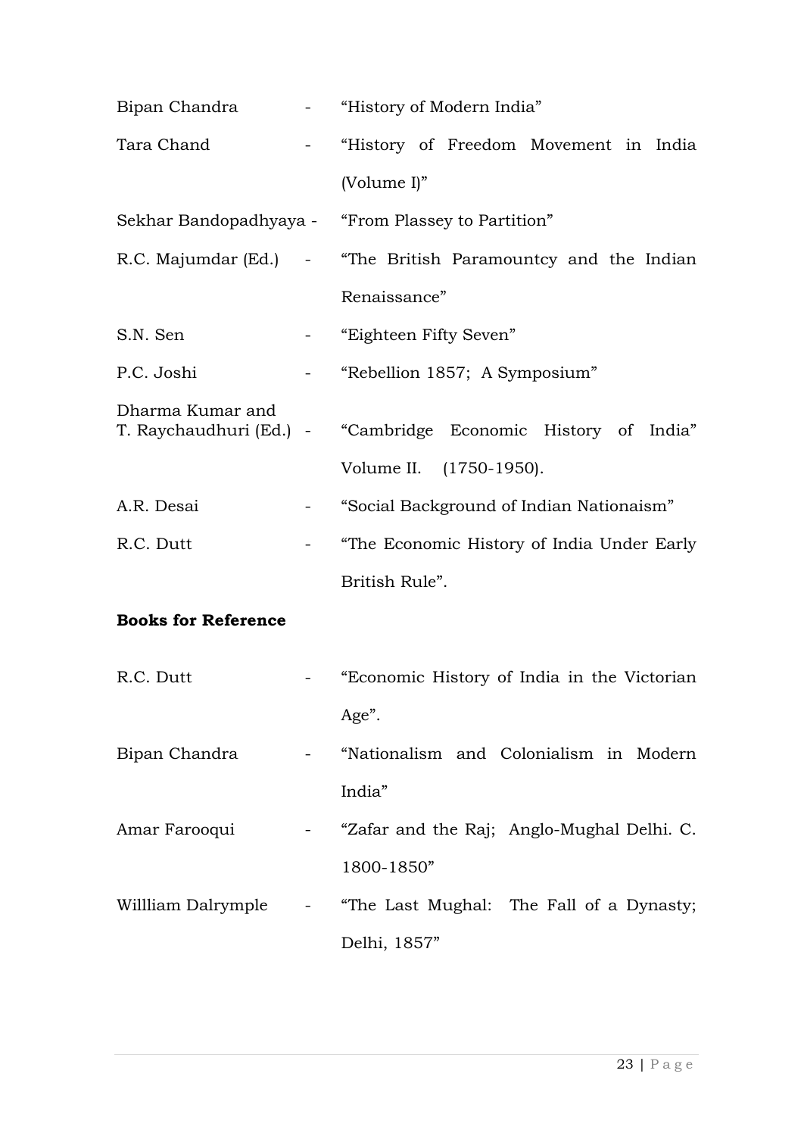|                            |                                                                                     | Bipan Chandra - "History of Modern India"                     |  |  |  |
|----------------------------|-------------------------------------------------------------------------------------|---------------------------------------------------------------|--|--|--|
| Tara Chand                 | $\frac{1}{2}$ and $\frac{1}{2}$                                                     | "History of Freedom Movement in India                         |  |  |  |
|                            |                                                                                     | (Volume I)"                                                   |  |  |  |
|                            |                                                                                     | Sekhar Bandopadhyaya - "From Plassey to Partition"            |  |  |  |
|                            |                                                                                     | R.C. Majumdar (Ed.) - "The British Paramountcy and the Indian |  |  |  |
|                            |                                                                                     | Renaissance"                                                  |  |  |  |
| S.N. Sen                   | $\frac{1}{2} \left( \frac{1}{2} \right)$ , $\frac{1}{2} \left( \frac{1}{2} \right)$ | "Eighteen Fifty Seven"                                        |  |  |  |
| P.C. Joshi                 |                                                                                     | "Rebellion 1857; A Symposium"                                 |  |  |  |
| Dharma Kumar and           |                                                                                     | T. Raychaudhuri (Ed.) - "Cambridge Economic History of India" |  |  |  |
|                            |                                                                                     | Volume II. (1750-1950).                                       |  |  |  |
| A.R. Desai                 |                                                                                     | "Social Background of Indian Nationaism"                      |  |  |  |
| R.C. Dutt                  |                                                                                     | "The Economic History of India Under Early                    |  |  |  |
|                            |                                                                                     | British Rule".                                                |  |  |  |
| <b>Books for Reference</b> |                                                                                     |                                                               |  |  |  |
| R.C. Dutt                  |                                                                                     | "Economic History of India in the Victorian                   |  |  |  |
|                            |                                                                                     | Age".                                                         |  |  |  |
| Bipan Chandra              |                                                                                     | - "Nationalism and Colonialism in Modern                      |  |  |  |
|                            |                                                                                     | India"                                                        |  |  |  |
| Amar Farooqui              |                                                                                     | - "Zafar and the Raj; Anglo-Mughal Delhi. C.                  |  |  |  |
|                            |                                                                                     | 1800-1850"                                                    |  |  |  |
|                            |                                                                                     | Willliam Dalrymple - "The Last Mughal: The Fall of a Dynasty; |  |  |  |
|                            |                                                                                     | Delhi, 1857"                                                  |  |  |  |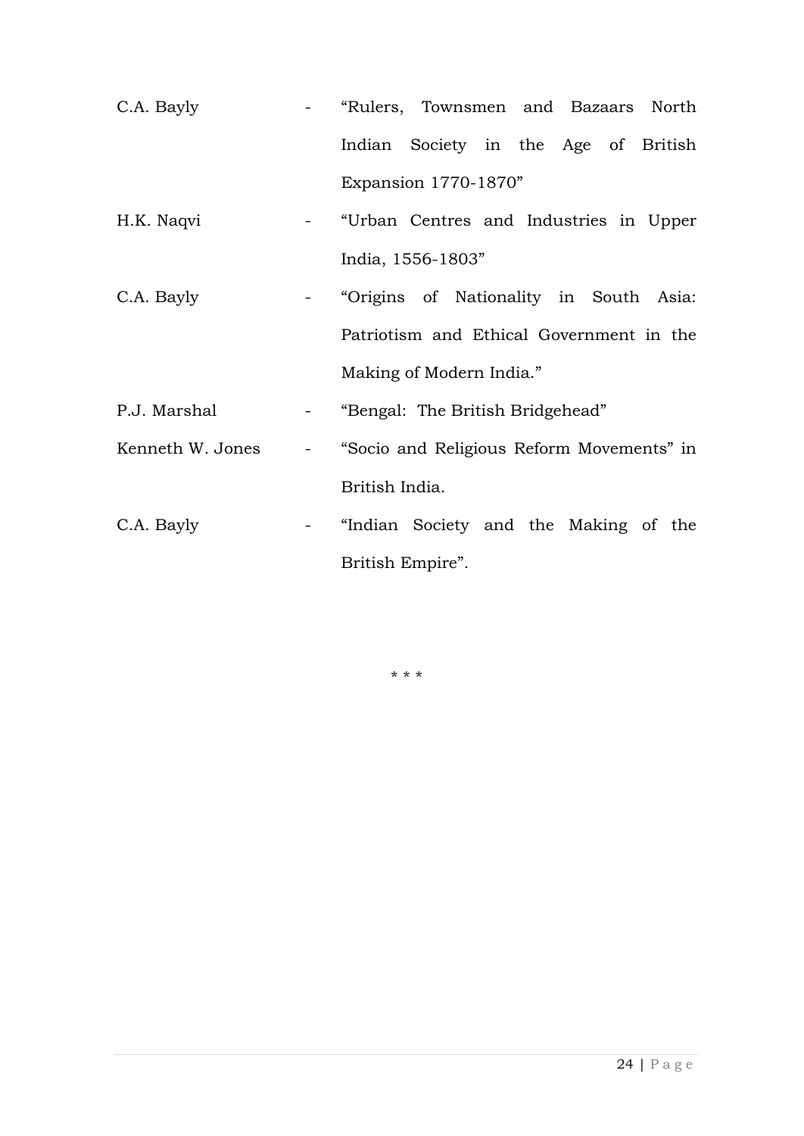- C.A. Bayly "Rulers, Townsmen and Bazaars North Indian Society in the Age of British Expansion 1770-1870"
- H.K. Naqvi "Urban Centres and Industries in Upper India, 1556-1803"
- C.A. Bayly "Origins of Nationality in South Asia: Patriotism and Ethical Government in the Making of Modern India."
- P.J. Marshal "Bengal: The British Bridgehead"
- Kenneth W. Jones "Socio and Religious Reform Movements" in British India.
- C.A. Bayly "Indian Society and the Making of the British Empire".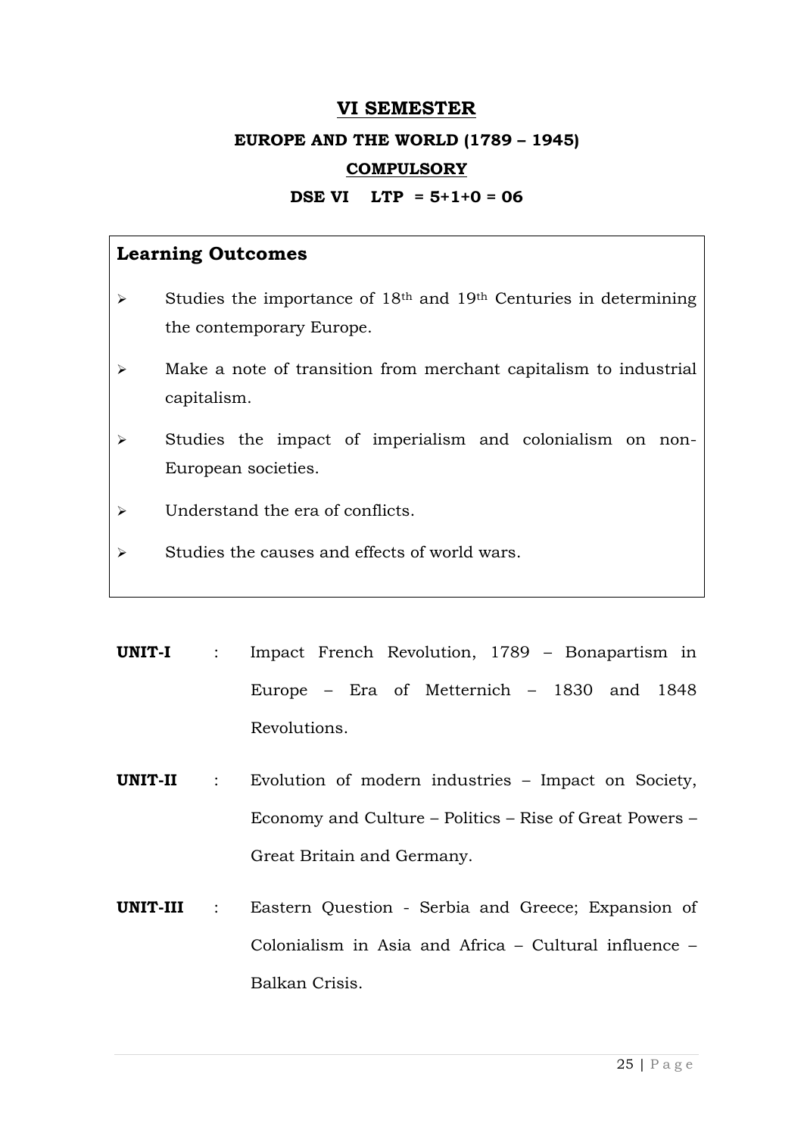#### **VI SEMESTER**

#### **EUROPE AND THE WORLD (1789 – 1945)**

#### **COMPULSORY**

#### **DSE VI LTP = 5+1+0 = 06**

- $\triangleright$  Studies the importance of 18<sup>th</sup> and 19<sup>th</sup> Centuries in determining the contemporary Europe.
- Make a note of transition from merchant capitalism to industrial capitalism.
- $\triangleright$  Studies the impact of imperialism and colonialism on non-European societies.
- $\triangleright$  Understand the era of conflicts.
- $\triangleright$  Studies the causes and effects of world wars.
- **UNIT-I** : Impact French Revolution, 1789 Bonapartism in Europe – Era of Metternich – 1830 and 1848 Revolutions.
- **UNIT-II** : Evolution of modern industries Impact on Society, Economy and Culture – Politics – Rise of Great Powers – Great Britain and Germany.
- **UNIT-III** : Eastern Question Serbia and Greece; Expansion of Colonialism in Asia and Africa – Cultural influence – Balkan Crisis.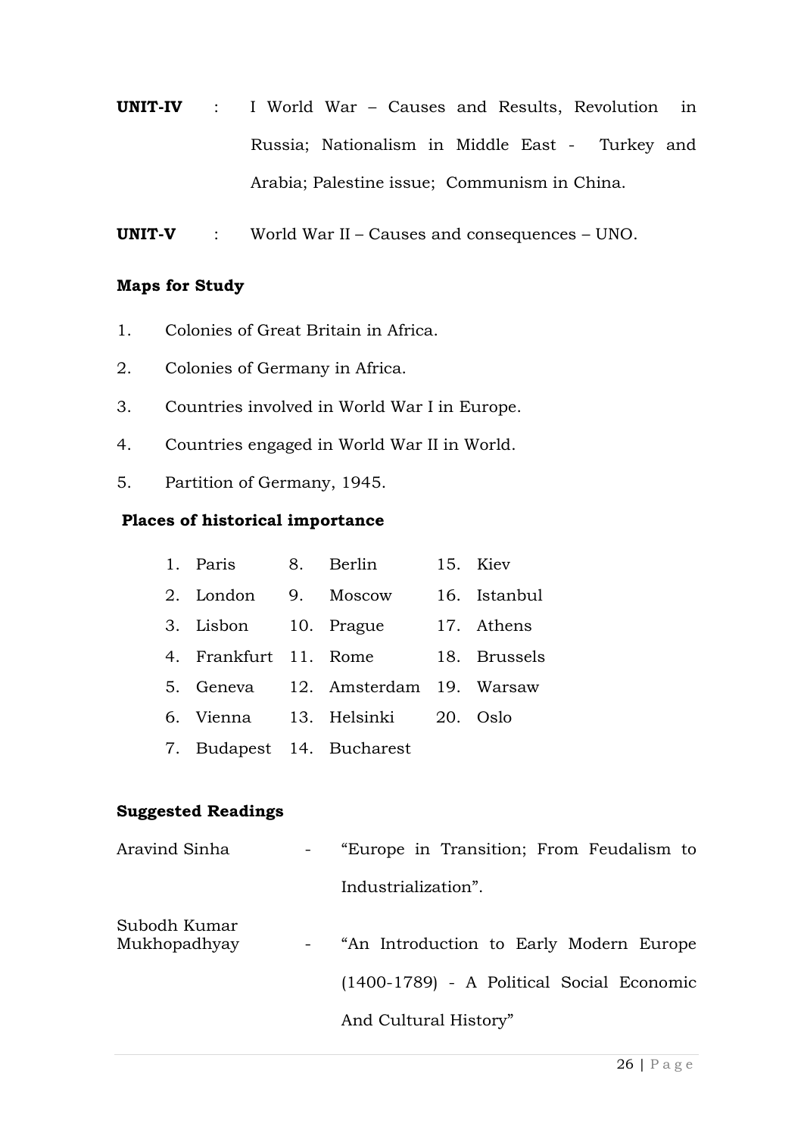- **UNIT-IV** : I World War Causes and Results, Revolution in Russia; Nationalism in Middle East - Turkey and Arabia; Palestine issue; Communism in China.
- **UNIT-V** : World War II Causes and consequences UNO.

#### **Maps for Study**

- 1. Colonies of Great Britain in Africa.
- 2. Colonies of Germany in Africa.
- 3. Countries involved in World War I in Europe.
- 4. Countries engaged in World War II in World.
- 5. Partition of Germany, 1945.

#### **Places of historical importance**

| 1. Paris                   | 8. Berlin                          | 15. Kiev     |
|----------------------------|------------------------------------|--------------|
| 2. London                  | 9. Moscow                          | 16. Istanbul |
| 3. Lisbon 10. Prague       |                                    | 17. Athens   |
| 4. Frankfurt 11. Rome      |                                    | 18. Brussels |
|                            | 5. Geneva 12. Amsterdam 19. Warsaw |              |
| 6. Vienna - 13. Helsinki - |                                    | 20. Oslo     |
|                            | 7. Budapest 14. Bucharest          |              |

#### **Suggested Readings**

| Aravind Sinha                | $\sim 100$ km s $^{-1}$ | "Europe in Transition; From Feudalism to  |
|------------------------------|-------------------------|-------------------------------------------|
|                              |                         | Industrialization".                       |
| Subodh Kumar<br>Mukhopadhyay | $\blacksquare$          | "An Introduction to Early Modern Europe   |
|                              |                         | (1400-1789) - A Political Social Economic |
|                              |                         | And Cultural History"                     |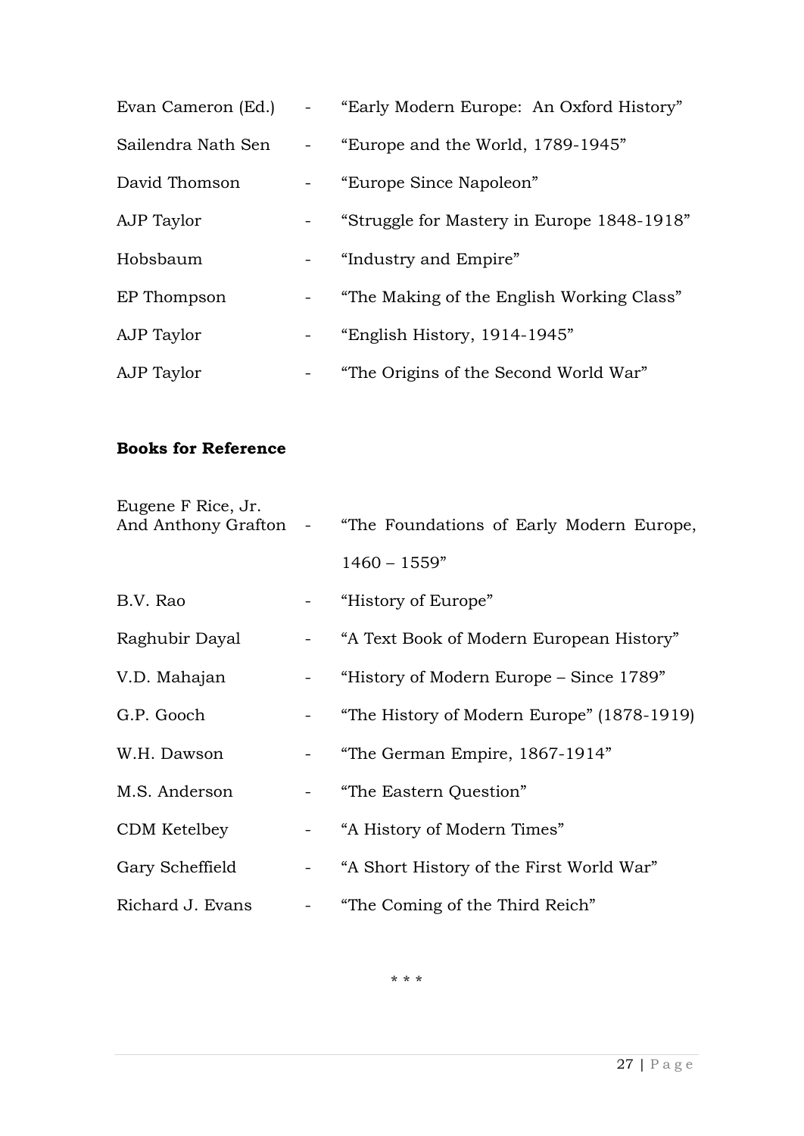| Evan Cameron (Ed.) | "Early Modern Europe: An Oxford History"   |
|--------------------|--------------------------------------------|
| Sailendra Nath Sen | "Europe and the World, 1789-1945"          |
| David Thomson      | - "Europe Since Napoleon"                  |
| AJP Taylor         | "Struggle for Mastery in Europe 1848-1918" |
| Hobsbaum           | - "Industry and Empire"                    |
| EP Thompson        | "The Making of the English Working Class"  |
| AJP Taylor         | - "English History, 1914-1945"             |
| AJP Taylor         | "The Origins of the Second World War"      |

#### **Books for Reference**

| Eugene F Rice, Jr. | And Anthony Grafton - "The Foundations of Early Modern Europe, |
|--------------------|----------------------------------------------------------------|
|                    | $1460 - 1559"$                                                 |
| B.V. Rao           | - "History of Europe"                                          |
| Raghubir Dayal     | - "A Text Book of Modern European History"                     |
| V.D. Mahajan       | "History of Modern Europe – Since 1789"                        |
| G.P. Gooch         | "The History of Modern Europe" (1878-1919)                     |
| W.H. Dawson        | "The German Empire, 1867-1914"                                 |
| M.S. Anderson      | - "The Eastern Question"                                       |
| CDM Ketelbey       | - "A History of Modern Times"                                  |
| Gary Scheffield    | - "A Short History of the First World War"                     |
| Richard J. Evans   | "The Coming of the Third Reich"                                |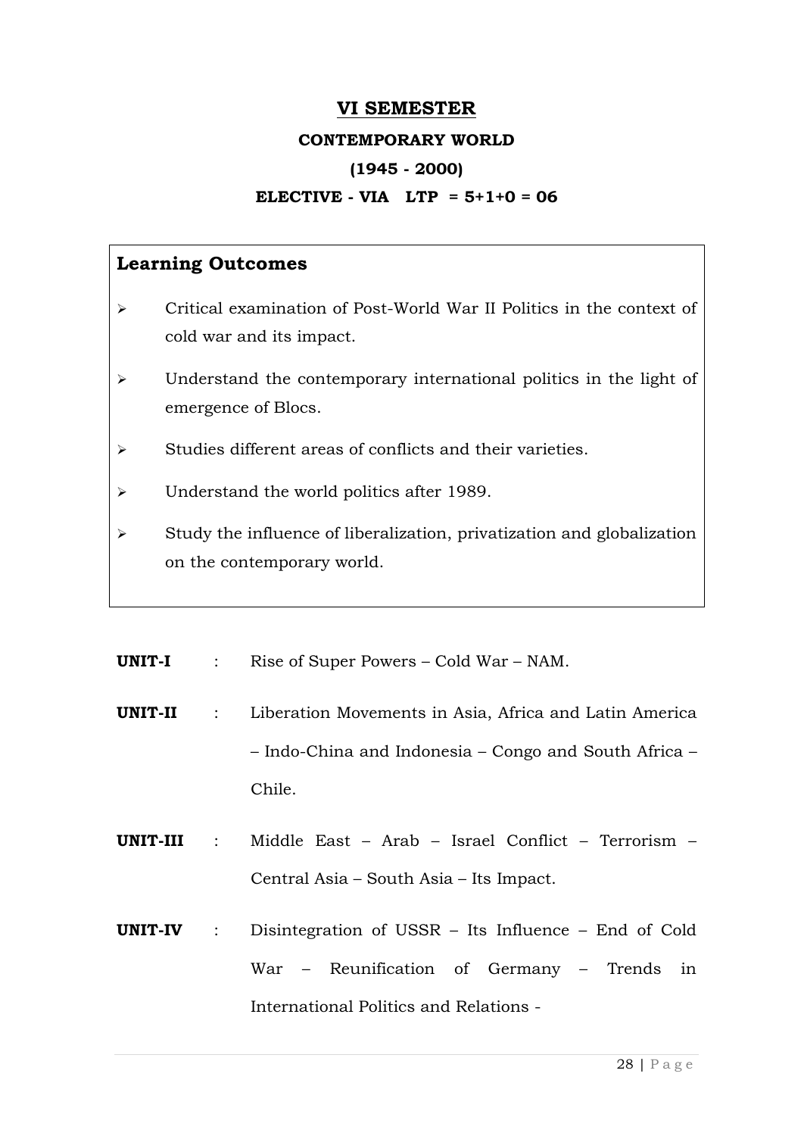#### **VI SEMESTER**

#### **CONTEMPORARY WORLD**

#### **(1945 - 2000)**

#### **ELECTIVE - VIA LTP = 5+1+0 = 06**

- $\geq$  Critical examination of Post-World War II Politics in the context of cold war and its impact.
- $\triangleright$  Understand the contemporary international politics in the light of emergence of Blocs.
- $\triangleright$  Studies different areas of conflicts and their varieties.
- > Understand the world politics after 1989.
- $\triangleright$  Study the influence of liberalization, privatization and globalization on the contemporary world.
- **UNIT-I** : Rise of Super Powers Cold War NAM.
- **UNIT-II** : Liberation Movements in Asia, Africa and Latin America – Indo-China and Indonesia – Congo and South Africa – Chile.
- **UNIT-III** : Middle East Arab Israel Conflict Terrorism Central Asia – South Asia – Its Impact.
- **UNIT-IV** : Disintegration of USSR Its Influence End of Cold War – Reunification of Germany – Trends in International Politics and Relations -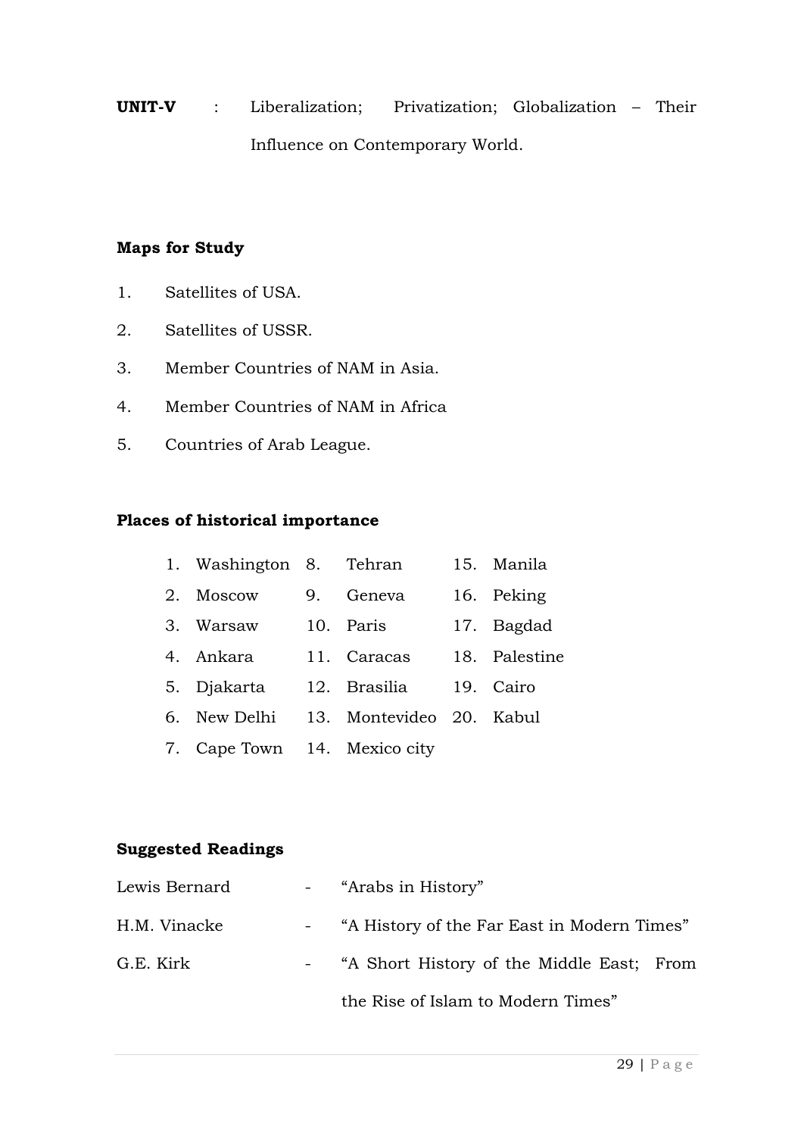**UNIT-V** : Liberalization; Privatization; Globalization – Their Influence on Contemporary World.

#### **Maps for Study**

- 1. Satellites of USA.
- 2. Satellites of USSR.
- 3. Member Countries of NAM in Asia.
- 4. Member Countries of NAM in Africa
- 5. Countries of Arab League.

#### **Places of historical importance**

|    | 1. Washington 8. Tehran      |    |                          | 15. Manila    |
|----|------------------------------|----|--------------------------|---------------|
| 2. | Moscow                       | 9. | Geneva                   | 16. Peking    |
|    | 3. Warsaw                    |    | 10. Paris                | 17. Bagdad    |
|    | 4. Ankara                    |    | 11. Caracas              | 18. Palestine |
|    | 5. Djakarta                  |    | 12. Brasilia             | 19. Cairo     |
|    | 6. New Delhi                 |    | 13. Montevideo 20. Kabul |               |
|    | 7. Cape Town 14. Mexico city |    |                          |               |

#### **Suggested Readings**

| Lewis Bernard | - "Arabs in History"                          |
|---------------|-----------------------------------------------|
| H.M. Vinacke  | - "A History of the Far East in Modern Times" |
| G.E. Kirk     | - "A Short History of the Middle East; From   |
|               | the Rise of Islam to Modern Times"            |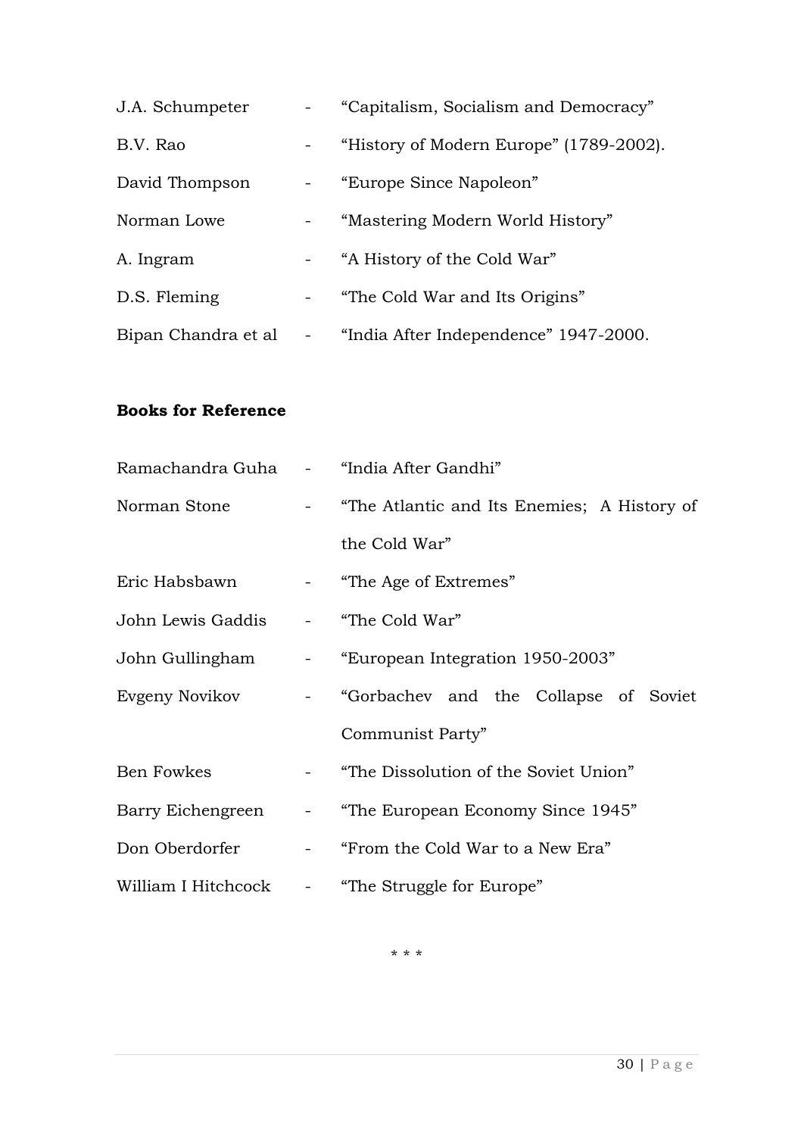| J.A. Schumpeter     | "Capitalism, Socialism and Democracy"   |
|---------------------|-----------------------------------------|
| B.V. Rao            | "History of Modern Europe" (1789-2002). |
| David Thompson      | "Europe Since Napoleon"                 |
| Norman Lowe         | "Mastering Modern World History"        |
| A. Ingram           | "A History of the Cold War"             |
| D.S. Fleming        | "The Cold War and Its Origins"          |
| Bipan Chandra et al | "India After Independence" 1947-2000.   |

#### **Books for Reference**

| Ramachandra Guha - "India After Gandhi" |                                                                 |  |  |  |
|-----------------------------------------|-----------------------------------------------------------------|--|--|--|
|                                         | Norman Stone <b>The Atlantic and Its Enemies</b> ; A History of |  |  |  |
|                                         | the Cold War"                                                   |  |  |  |
| Eric Habsbawn                           | - "The Age of Extremes"                                         |  |  |  |
| John Lewis Gaddis                       | - "The Cold War"                                                |  |  |  |
|                                         | John Gullingham - "European Integration 1950-2003"              |  |  |  |
|                                         | Evgeny Novikov - "Gorbachev and the Collapse of Soviet          |  |  |  |
|                                         | Communist Party"                                                |  |  |  |
| Ben Fowkes                              | - "The Dissolution of the Soviet Union"                         |  |  |  |
|                                         | Barry Eichengreen - "The European Economy Since 1945"           |  |  |  |
|                                         | Don Oberdorfer - "From the Cold War to a New Era"               |  |  |  |
| William I Hitchcock                     | - "The Struggle for Europe"                                     |  |  |  |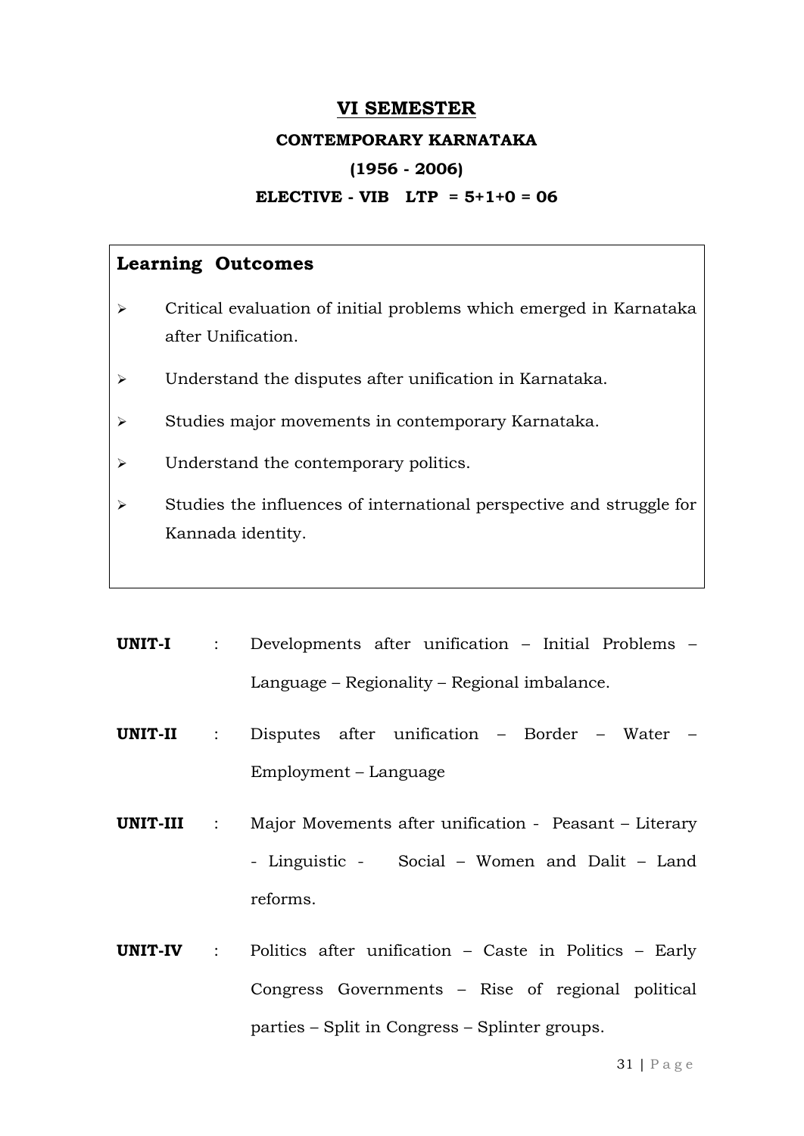#### **VI SEMESTER**

#### **CONTEMPORARY KARNATAKA**

#### **(1956 - 2006)**

#### **ELECTIVE - VIB LTP = 5+1+0 = 06**

- $\triangleright$  Critical evaluation of initial problems which emerged in Karnataka after Unification.
- Understand the disputes after unification in Karnataka.
- $\triangleright$  Studies major movements in contemporary Karnataka.
- > Understand the contemporary politics.
- $\triangleright$  Studies the influences of international perspective and struggle for Kannada identity.
- **UNIT-I** : Developments after unification Initial Problems Language – Regionality – Regional imbalance.
- **UNIT-II** : Disputes after unification Border Water Employment – Language
- **UNIT-III** : Major Movements after unification Peasant Literary - Linguistic - Social – Women and Dalit – Land reforms.
- **UNIT-IV** : Politics after unification Caste in Politics Early Congress Governments – Rise of regional political parties – Split in Congress – Splinter groups.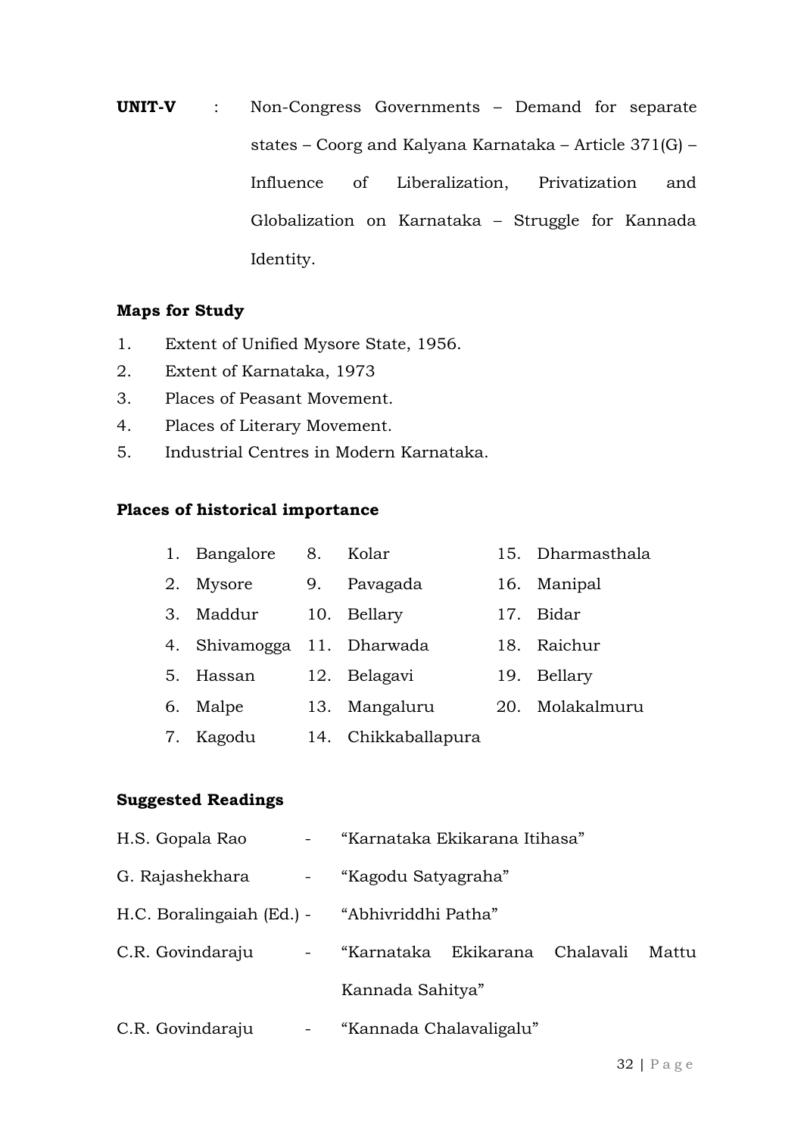**UNIT-V** : Non-Congress Governments – Demand for separate states – Coorg and Kalyana Karnataka – Article 371(G) – Influence of Liberalization, Privatization and Globalization on Karnataka – Struggle for Kannada Identity.

#### **Maps for Study**

- 1. Extent of Unified Mysore State, 1956.
- 2. Extent of Karnataka, 1973
- 3. Places of Peasant Movement.
- 4. Places of Literary Movement.
- 5. Industrial Centres in Modern Karnataka.

#### **Places of historical importance**

|    | 1. Bangalore               | 8. | Kolar               |     | 15. Dharmasthala |
|----|----------------------------|----|---------------------|-----|------------------|
| 2. | Mysore                     | 9. | Pavagada            | 16. | Manipal          |
| 3. | Maddur                     |    | 10. Bellary         | 17. | Bidar            |
|    | 4. Shivamogga 11. Dharwada |    |                     | 18. | Raichur          |
| 5. | Hassan                     |    | 12. Belagavi        | 19. | Bellary          |
| 6. | Malpe                      |    | 13. Mangaluru       | 20. | Molakalmuru      |
| 7. | Kagodu                     |    | 14. Chikkaballapura |     |                  |

#### **Suggested Readings**

| H.S. Gopala Rao<br>$\frac{1}{2}$ and $\frac{1}{2}$ | "Karnataka Ekikarana Itihasa"           |  |  |  |  |
|----------------------------------------------------|-----------------------------------------|--|--|--|--|
| G. Rajashekhara<br>$\sim 1000$                     | "Kagodu Satyagraha"                     |  |  |  |  |
| H.C. Boralingaiah (Ed.) - "Abhivriddhi Patha"      |                                         |  |  |  |  |
| C.R. Govindaraju<br>$\blacksquare$                 | "Karnataka Ekikarana Chalavali<br>Mattu |  |  |  |  |
|                                                    | Kannada Sahitya"                        |  |  |  |  |
| C.R. Govindaraju<br>$\blacksquare$                 | "Kannada Chalavaligalu"                 |  |  |  |  |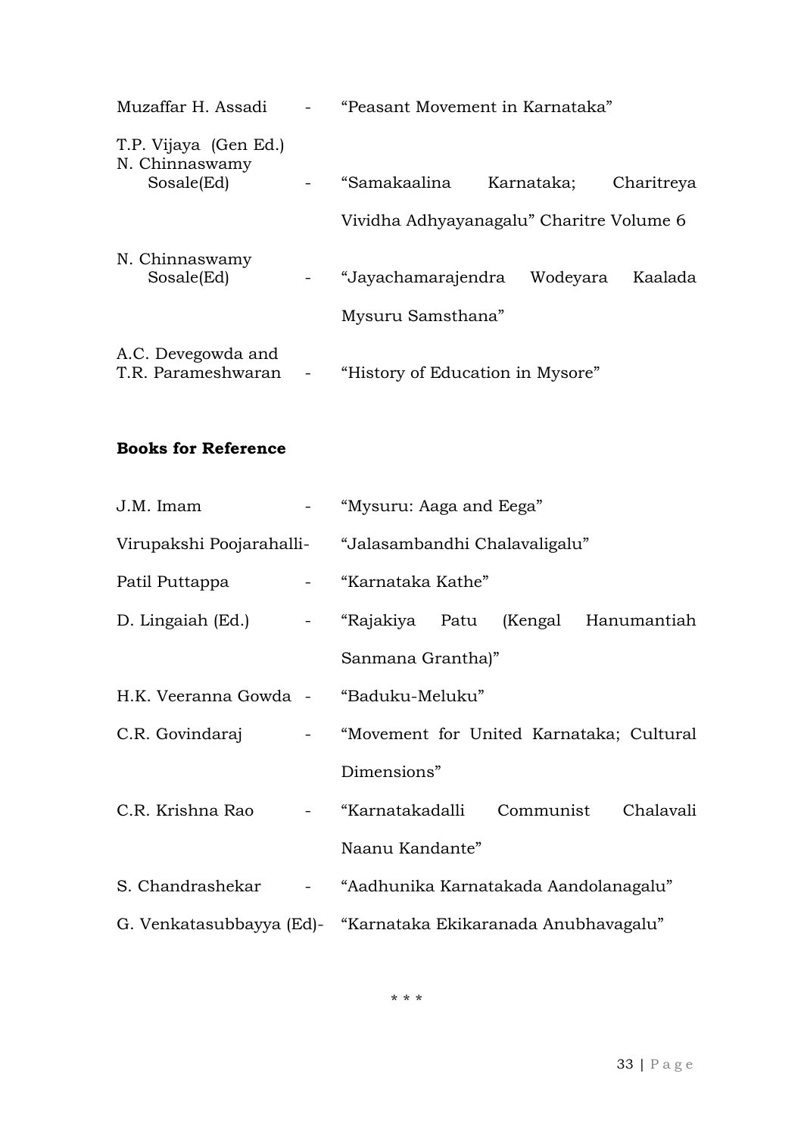| Muzaffar H. Assadi                                    | "Peasant Movement in Karnataka"                  |            |            |
|-------------------------------------------------------|--------------------------------------------------|------------|------------|
| T.P. Vijaya (Gen Ed.)<br>N. Chinnaswamy<br>Sosale(Ed) | "Samakaalina                                     | Karnataka; | Charitreya |
|                                                       | Vividha Adhyayanagalu" Charitre Volume 6         |            |            |
| N. Chinnaswamy<br>Sosale(Ed)                          | "Jayachamarajendra Wodeyara<br>Mysuru Samsthana" |            | Kaalada    |
| A.C. Devegowda and<br>T.R. Parameshwaran              | "History of Education in Mysore"                 |            |            |

#### **Books for Reference**

| J.M. Imam                                | - "Mysuru: Aaga and Eega"                                     |  |  |
|------------------------------------------|---------------------------------------------------------------|--|--|
|                                          | Virupakshi Poojarahalli- "Jalasambandhi Chalavaligalu"        |  |  |
| Patil Puttappa and all "Karnataka Kathe" |                                                               |  |  |
|                                          | D. Lingaiah (Ed.) - "Rajakiya Patu (Kengal Hanumantiah        |  |  |
|                                          | Sanmana Grantha)"                                             |  |  |
| H.K. Veeranna Gowda - "Baduku-Meluku"    |                                                               |  |  |
|                                          | C.R. Govindaraj - "Movement for United Karnataka; Cultural    |  |  |
|                                          | Dimensions"                                                   |  |  |
|                                          | C.R. Krishna Rao - "Karnatakadalli Communist Chalavali        |  |  |
|                                          | Naanu Kandante"                                               |  |  |
|                                          | S. Chandrashekar - "Aadhunika Karnatakada Aandolanagalu"      |  |  |
|                                          | G. Venkatasubbayya (Ed)- "Karnataka Ekikaranada Anubhavagalu" |  |  |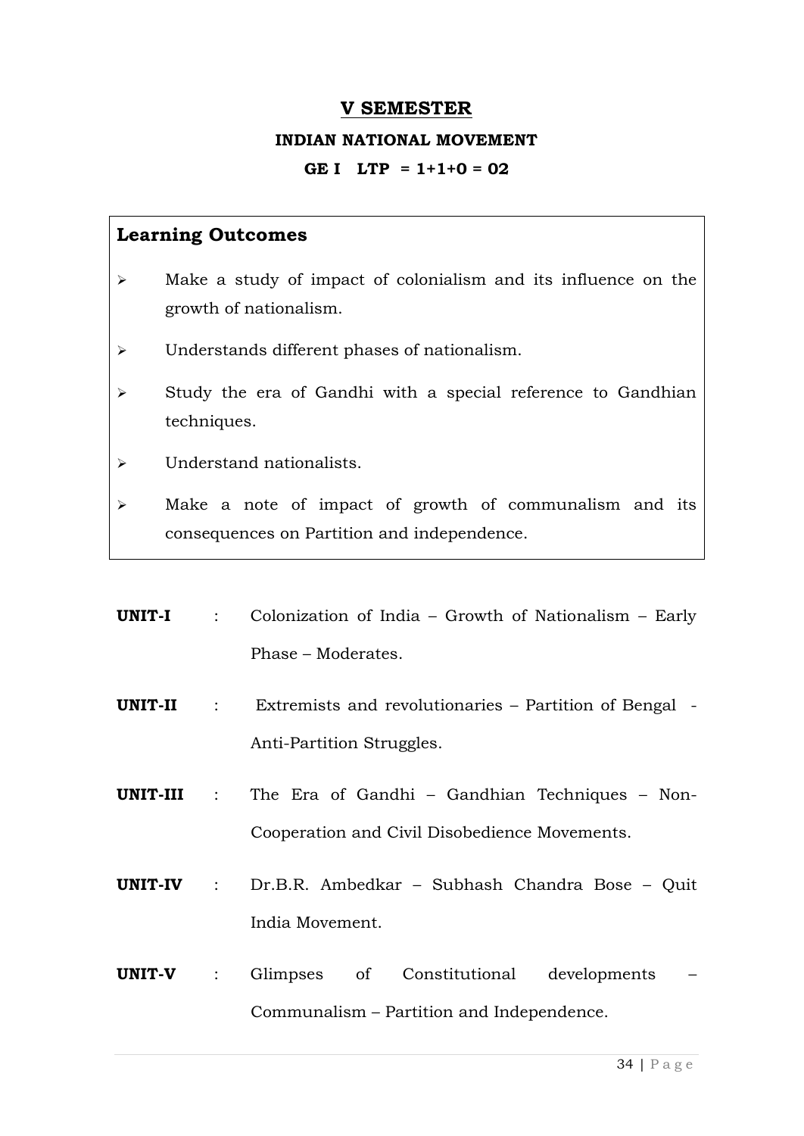#### **V SEMESTER**

#### **INDIAN NATIONAL MOVEMENT**

#### **GE I LTP = 1+1+0 = 02**

- $\triangleright$  Make a study of impact of colonialism and its influence on the growth of nationalism.
- Understands different phases of nationalism.
- $\triangleright$  Study the era of Gandhi with a special reference to Gandhian techniques.
- Understand nationalists.
- Make a note of impact of growth of communalism and its consequences on Partition and independence.
- **UNIT-I** : Colonization of India Growth of Nationalism Early Phase – Moderates.
- **UNIT-II** : Extremists and revolutionaries Partition of Bengal Anti-Partition Struggles.
- **UNIT-III** : The Era of Gandhi Gandhian Techniques Non-Cooperation and Civil Disobedience Movements.
- **UNIT-IV** : Dr.B.R. Ambedkar Subhash Chandra Bose Quit India Movement.
- **UNIT-V** : Glimpses of Constitutional developments Communalism – Partition and Independence.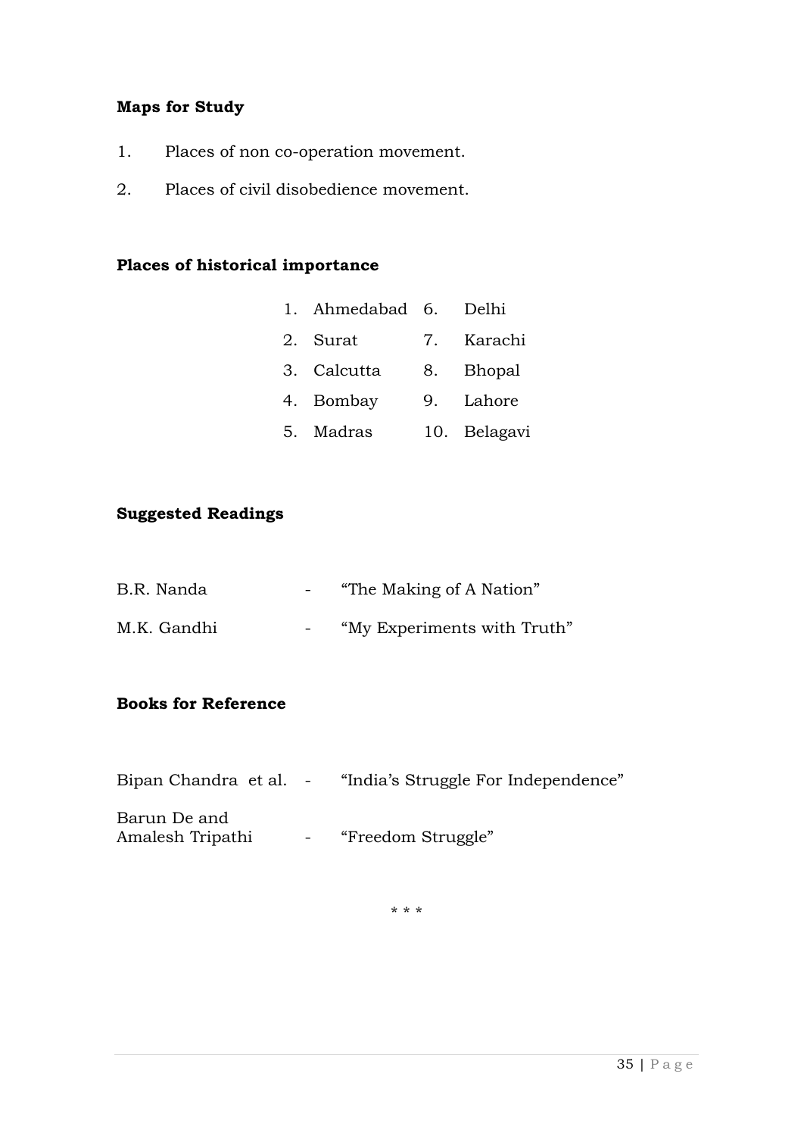#### **Maps for Study**

- 1. Places of non co-operation movement.
- 2. Places of civil disobedience movement.

#### **Places of historical importance**

| Ahmedabad 6. | Delhi |
|--------------|-------|
|              |       |

- 2. Surat 7. Karachi
- 3. Calcutta 8. Bhopal
- 4. Bombay 9. Lahore
- 5. Madras 10. Belagavi

#### **Suggested Readings**

B.R. Nanda - "The Making of A Nation" M.K. Gandhi - "My Experiments with Truth"

#### **Books for Reference**

Bipan Chandra et al. - "India's Struggle For Independence" Barun De and Amalesh Tripathi - "Freedom Struggle"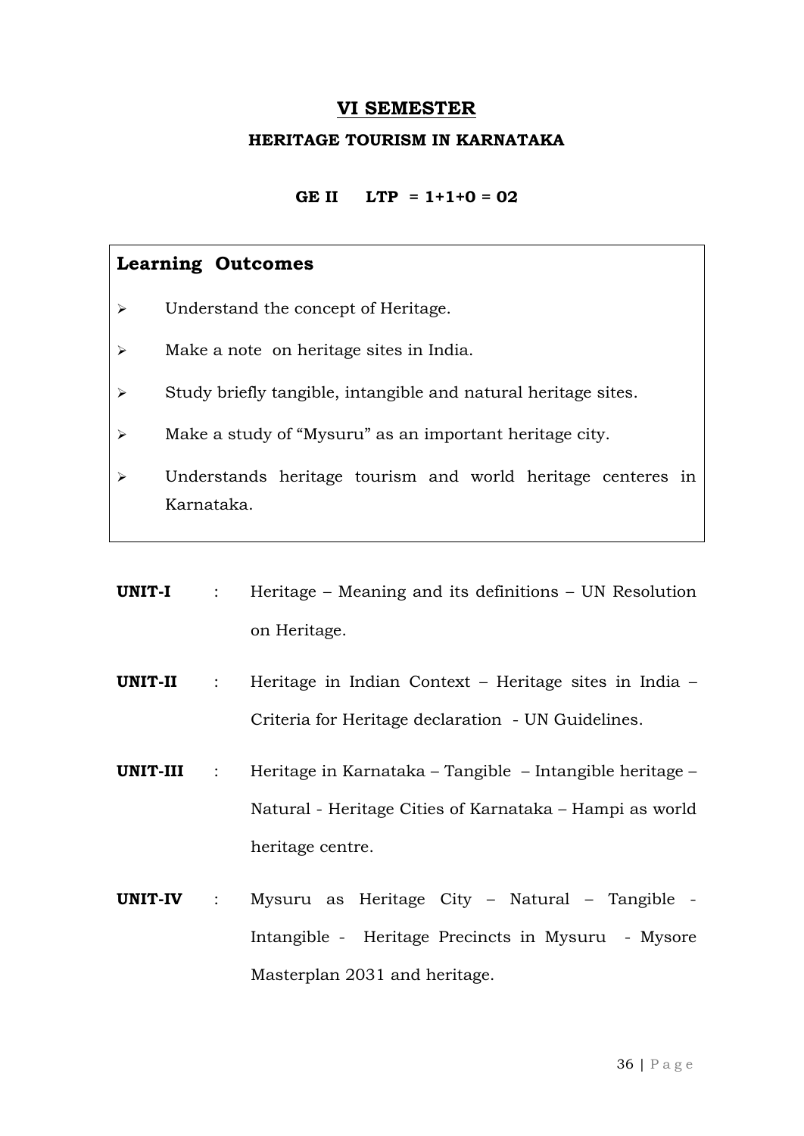#### **VI SEMESTER**

#### **HERITAGE TOURISM IN KARNATAKA**

**GE II LTP = 1+1+0 = 02**

#### **Learning Outcomes**

- > Understand the concept of Heritage.
- Make a note on heritage sites in India.
- $\triangleright$  Study briefly tangible, intangible and natural heritage sites.
- Make a study of "Mysuru" as an important heritage city.
- Understands heritage tourism and world heritage centeres in Karnataka.

|           | <b>UNIT-I</b> : Heritage – Meaning and its definitions – UN Resolution     |
|-----------|----------------------------------------------------------------------------|
|           | on Heritage.                                                               |
|           | <b>UNIT-II</b> : Heritage in Indian Context – Heritage sites in India –    |
|           | Criteria for Heritage declaration - UN Guidelines.                         |
|           | <b>UNIT-III</b> : Heritage in Karnataka – Tangible – Intangible heritage – |
|           | Natural - Heritage Cities of Karnataka – Hampi as world                    |
|           | heritage centre.                                                           |
| UNIT-IV : | Mysuru as Heritage City - Natural - Tangible -                             |
|           | Intangible - Heritage Precincts in Mysuru - Mysore                         |

Masterplan 2031 and heritage.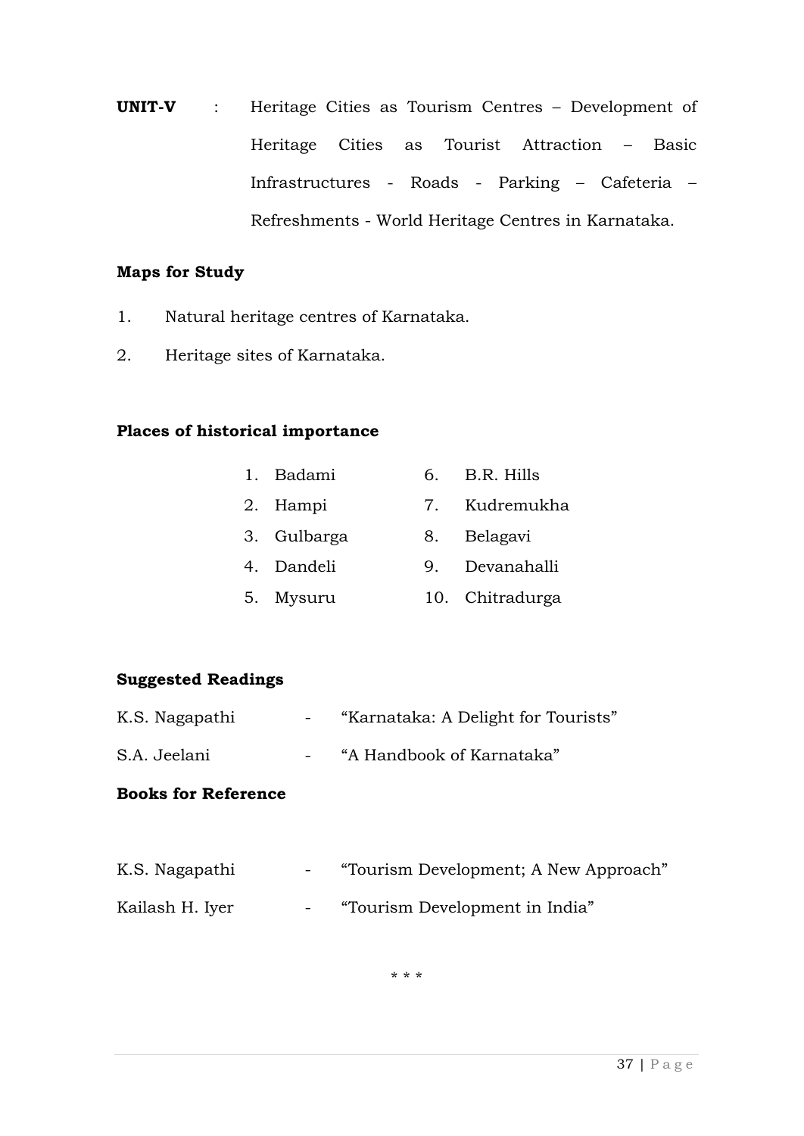**UNIT-V** : Heritage Cities as Tourism Centres – Development of Heritage Cities as Tourist Attraction – Basic Infrastructures - Roads - Parking – Cafeteria – Refreshments - World Heritage Centres in Karnataka.

#### **Maps for Study**

- 1. Natural heritage centres of Karnataka.
- 2. Heritage sites of Karnataka.

#### **Places of historical importance**

| 1. Badami | B.R. Hills |
|-----------|------------|
|           |            |

- 2. Hampi 7. Kudremukha
- 3. Gulbarga 8. Belagavi
- 4. Dandeli 9. Devanahalli
- 5. Mysuru 10. Chitradurga

#### **Suggested Readings**

- K.S. Nagapathi "Karnataka: A Delight for Tourists"
- S.A. Jeelani "A Handbook of Karnataka"

#### **Books for Reference**

| K.S. Nagapathi  | <b>Service</b>           | "Tourism Development; A New Approach" |
|-----------------|--------------------------|---------------------------------------|
| Kailash H. Iyer | <b>Contract Contract</b> | "Tourism Development in India"        |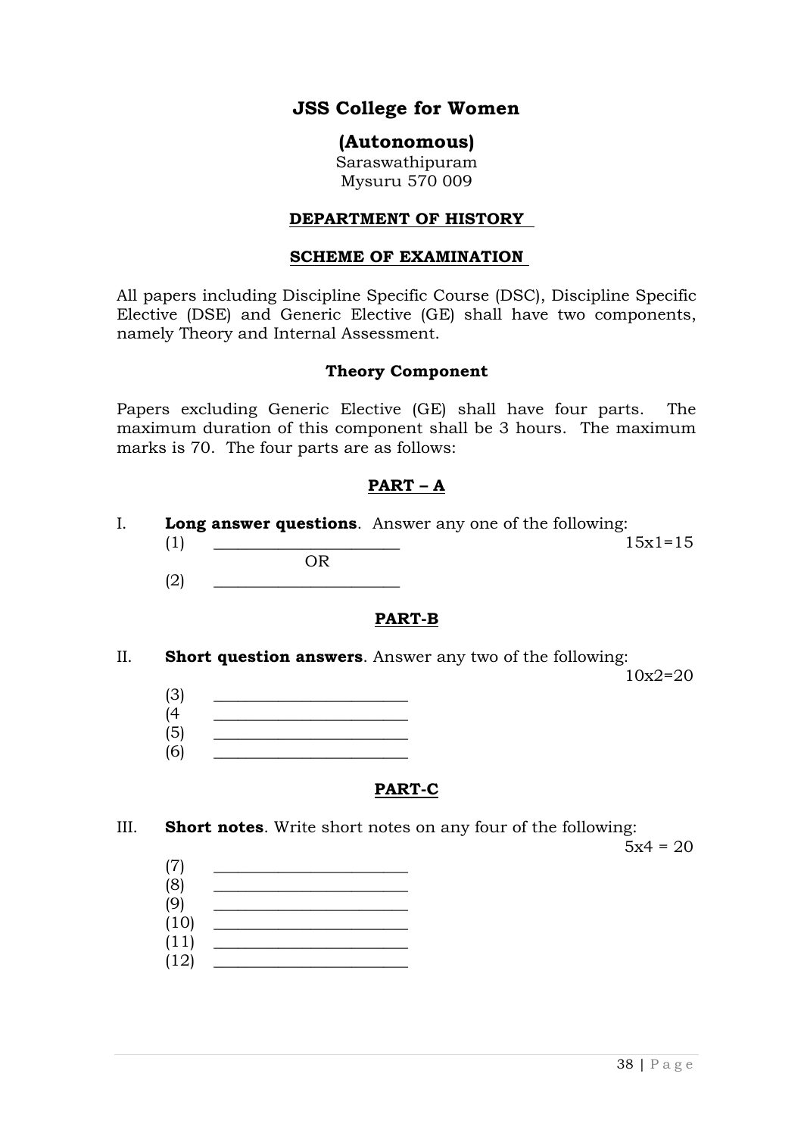#### **JSS College for Women**

#### **(Autonomous)**

Saraswathipuram Mysuru 570 009

#### **DEPARTMENT OF HISTORY**

#### **SCHEME OF EXAMINATION**

All papers including Discipline Specific Course (DSC), Discipline Specific Elective (DSE) and Generic Elective (GE) shall have two components, namely Theory and Internal Assessment.

#### **Theory Component**

Papers excluding Generic Elective (GE) shall have four parts. The maximum duration of this component shall be 3 hours. The maximum marks is 70. The four parts are as follows:

#### **PART – A**

- I. **Long answer questions**. Answer any one of the following:  $(1)$   $15x1=15$ OR
	- $(2)$

#### **PART-B**

II. **Short question answers**. Answer any two of the following:

10x2=20

- $(3)$  $(4 \quad \qquad \qquad$
- $(5)$   $\qquad \qquad \qquad$
- $(6)$

#### **PART-C**

III. **Short notes**. Write short notes on any four of the following:

 $5x4 = 20$ 

- (7) \_\_\_\_\_\_\_\_\_\_\_\_\_\_\_\_\_\_\_\_\_\_\_\_  $(8)$   $\qquad \qquad$  $(9)$   $\qquad \qquad \qquad$
- $(10)$
- (11) \_\_\_\_\_\_\_\_\_\_\_\_\_\_\_\_\_\_\_\_\_\_\_\_
- $(12)$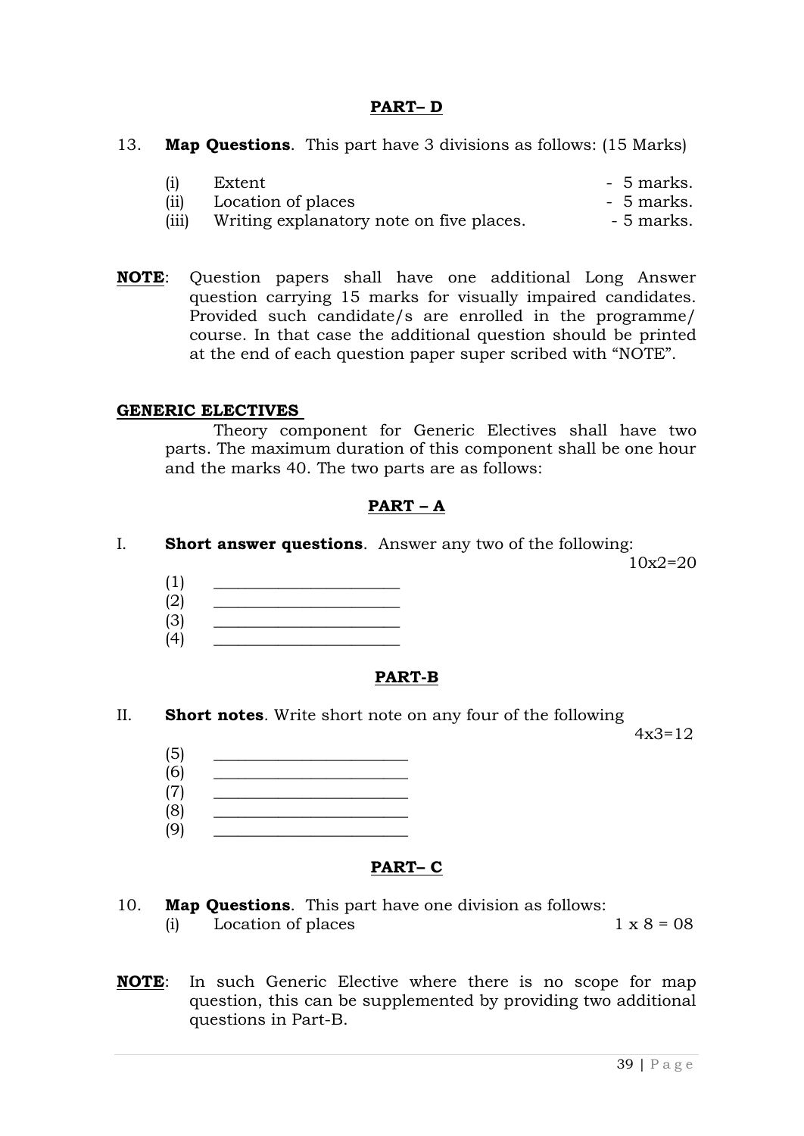#### **PART– D**

13. **Map Questions**. This part have 3 divisions as follows: (15 Marks)

|      | Extent             | - 5 marks. |
|------|--------------------|------------|
| (ii) | Location of places | - 5 marks. |

- (iii) Writing explanatory note on five places. 5 marks.
- **NOTE**: Question papers shall have one additional Long Answer question carrying 15 marks for visually impaired candidates. Provided such candidate/s are enrolled in the programme/ course. In that case the additional question should be printed at the end of each question paper super scribed with "NOTE".

#### **GENERIC ELECTIVES**

Theory component for Generic Electives shall have two parts. The maximum duration of this component shall be one hour and the marks 40. The two parts are as follows:

#### **PART – A**

I. **Short answer questions**. Answer any two of the following:

10x2=20

- (1) \_\_\_\_\_\_\_\_\_\_\_\_\_\_\_\_\_\_\_\_\_\_\_
- $(2)$   $\qquad \qquad$ (3) \_\_\_\_\_\_\_\_\_\_\_\_\_\_\_\_\_\_\_\_\_\_\_
- $(4)$

#### **PART-B**

II. **Short notes**. Write short note on any four of the following

 $4x3=12$ 

- $(5)$ (6) \_\_\_\_\_\_\_\_\_\_\_\_\_\_\_\_\_\_\_\_\_\_\_\_
- $(7)$   $\qquad \qquad \qquad$
- (8) \_\_\_\_\_\_\_\_\_\_\_\_\_\_\_\_\_\_\_\_\_\_\_\_
- $(9)$

#### **PART– C**

- 10. **Map Questions**. This part have one division as follows:
	- (i) Location of places  $1 \times 8 = 08$
- **NOTE**: In such Generic Elective where there is no scope for map question, this can be supplemented by providing two additional questions in Part-B.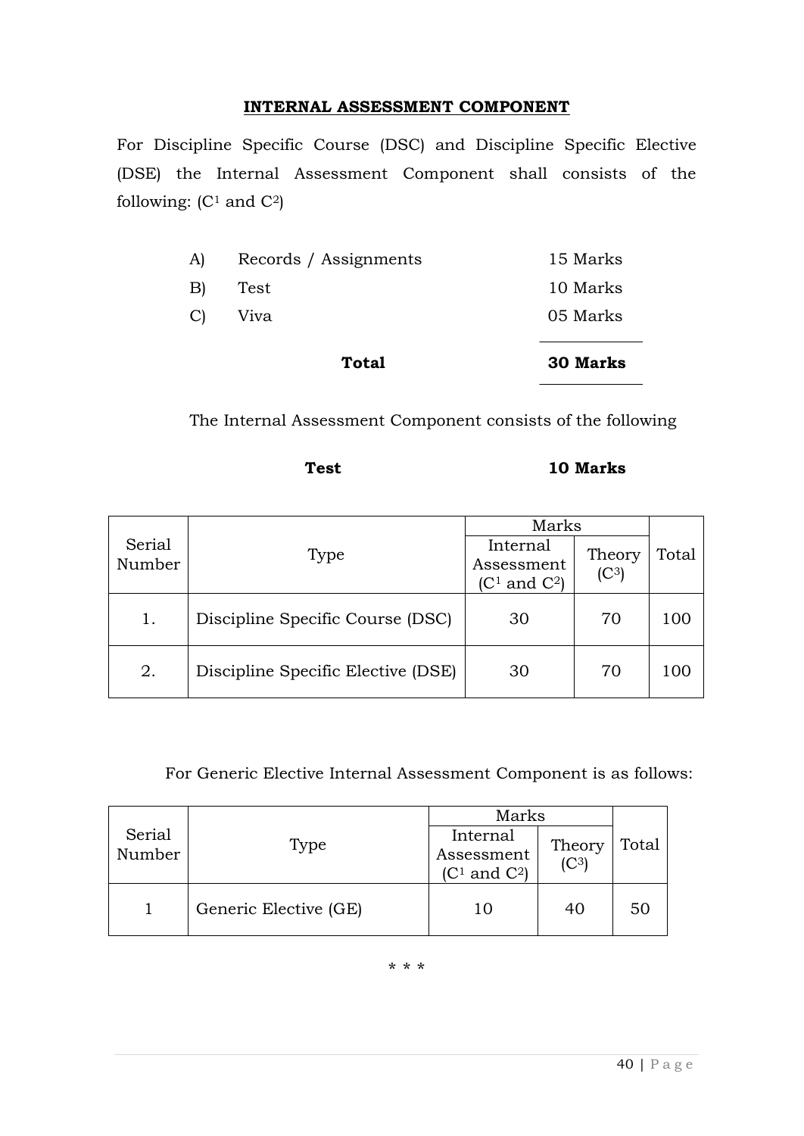#### **INTERNAL ASSESSMENT COMPONENT**

For Discipline Specific Course (DSC) and Discipline Specific Elective (DSE) the Internal Assessment Component shall consists of the following:  $(C<sup>1</sup>$  and  $C<sup>2</sup>$ )

|                 | <b>Total</b>          | <b>30 Marks</b> |
|-----------------|-----------------------|-----------------|
| C)              | Viva                  | 05 Marks        |
| $\vert B \vert$ | Test                  | 10 Marks        |
| A)              | Records / Assignments | 15 Marks        |

The Internal Assessment Component consists of the following

#### 10 Marks

|                  |                                    | Marks                                      |                             |       |  |
|------------------|------------------------------------|--------------------------------------------|-----------------------------|-------|--|
| Serial<br>Number | Type                               | Internal<br>Assessment<br>$(C1$ and $C2$ ) | Theory<br>(C <sup>3</sup> ) | Total |  |
| 1.               | Discipline Specific Course (DSC)   | 30                                         | 70                          | 100   |  |
| 2.               | Discipline Specific Elective (DSE) | 30                                         | 70                          | 100   |  |

For Generic Elective Internal Assessment Component is as follows:

|                  |                       | Marks                                    |                             |       |
|------------------|-----------------------|------------------------------------------|-----------------------------|-------|
| Serial<br>Number | Type                  | Internal<br>Assessment<br>$(C1$ and $C2$ | Theory<br>(C <sup>3</sup> ) | Total |
|                  | Generic Elective (GE) | 10                                       | 40                          | 50    |